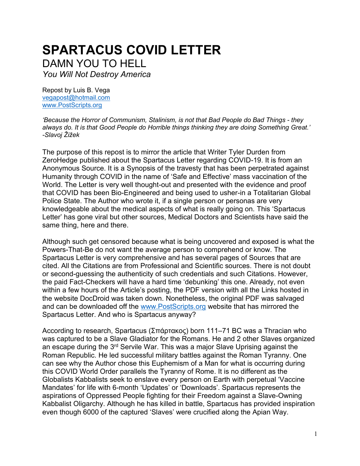# **SPARTACUS COVID LETTER** DAMN YOU TO HELL

*You Will Not Destroy America* 

Repost by Luis B. Vega [vegapost@hotmail.com](mailto:vegapost@hotmail.com) [www.PostScripts.org](http://www.postscripts.org/)

*'Because the Horror of Communism, Stalinism, is not that Bad People do Bad Things - they always do. It is that Good People do Horrible things thinking they are doing Something Great.' -Slavoj Žižek*

The purpose of this repost is to mirror the article that Writer Tyler Durden from ZeroHedge published about the Spartacus Letter regarding COVID-19. It is from an Anonymous Source. It is a Synopsis of the travesty that has been perpetrated against Humanity through COVID in the name of 'Safe and Effective' mass vaccination of the World. The Letter is very well thought-out and presented with the evidence and proof that COVID has been Bio-Engineered and being used to usher-in a Totalitarian Global Police State. The Author who wrote it, if a single person or personas are very knowledgeable about the medical aspects of what is really going on. This 'Spartacus Letter' has gone viral but other sources, Medical Doctors and Scientists have said the same thing, here and there.

Although such get censored because what is being uncovered and exposed is what the Powers-That-Be do not want the average person to comprehend or know. The Spartacus Letter is very comprehensive and has several pages of Sources that are cited. All the Citations are from Professional and Scientific sources. There is not doubt or second-guessing the authenticity of such credentials and such Citations. However, the paid Fact-Checkers will have a hard time 'debunking' this one. Already, not even within a few hours of the Article's posting, the PDF version with all the Links hosted in the website DocDroid was taken down. Nonetheless, the original PDF was salvaged and can be downloaded off the [www.PostScripts.org](http://www.postscripts.org/) website that has mirrored the Spartacus Letter. And who is Spartacus anyway?

According to research, Spartacus (Σπάρτακος) born 111–71 BC was a Thracian who was captured to be a Slave Gladiator for the Romans. He and 2 other Slaves organized an escape during the 3<sup>rd</sup> Servile War. This was a major Slave Uprising against the Roman Republic. He led successful military battles against the Roman Tyranny. One can see why the Author chose this Euphemism of a Man for what is occurring during this COVID World Order parallels the Tyranny of Rome. It is no different as the Globalists Kabbalists seek to enslave every person on Earth with perpetual 'Vaccine Mandates' for life with 6-month 'Updates' or 'Downloads'. Spartacus represents the aspirations of Oppressed People fighting for their Freedom against a Slave-Owning Kabbalist Oligarchy. Although he has killed in battle, Spartacus has provided inspiration even though 6000 of the captured 'Slaves' were crucified along the Apian Way.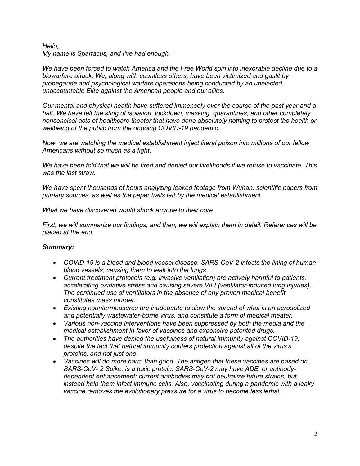# *Hello, My name is Spartacus, and I've had enough.*

*We have been forced to watch America and the Free World spin into inexorable decline due to a biowarfare attack. We, along with countless others, have been victimized and gaslit by propaganda and psychological warfare operations being conducted by an unelected, unaccountable Elite against the American people and our allies.*

*Our mental and physical health have suffered immensely over the course of the past year and a half. We have felt the sting of isolation, lockdown, masking, quarantines, and other completely nonsensical acts of healthcare theater that have done absolutely nothing to protect the health or wellbeing of the public from the ongoing COVID-19 pandemic.*

*Now, we are watching the medical establishment inject literal poison into millions of our fellow Americans without so much as a fight.*

*We have been told that we will be fired and denied our livelihoods if we refuse to vaccinate. This was the last straw.*

*We have spent thousands of hours analyzing leaked footage from Wuhan, scientific papers from primary sources, as well as the paper trails left by the medical establishment.*

*What we have discovered would shock anyone to their core.*

*First, we will summarize our findings, and then, we will explain them in detail. References will be placed at the end.*

# *Summary:*

- *COVID-19 is a blood and blood vessel disease. SARS-CoV-2 infects the lining of human blood vessels, causing them to leak into the lungs.*
- *Current treatment protocols (e.g. invasive ventilation) are actively harmful to patients, accelerating oxidative stress and causing severe VILI (ventilator-induced lung injuries). The continued use of ventilators in the absence of any proven medical benefit constitutes mass murder.*
- *Existing countermeasures are inadequate to slow the spread of what is an aerosolized and potentially wastewater-borne virus, and constitute a form of medical theater.*
- *Various non-vaccine interventions have been suppressed by both the media and the medical establishment in favor of vaccines and expensive patented drugs.*
- *The authorities have denied the usefulness of natural immunity against COVID-19, despite the fact that natural immunity confers protection against all of the virus's proteins, and not just one.*
- *Vaccines will do more harm than good. The antigen that these vaccines are based on, SARS-CoV- 2 Spike, is a toxic protein. SARS-CoV-2 may have ADE, or antibodydependent enhancement; current antibodies may not neutralize future strains, but instead help them infect immune cells. Also, vaccinating during a pandemic with a leaky vaccine removes the evolutionary pressure for a virus to become less lethal.*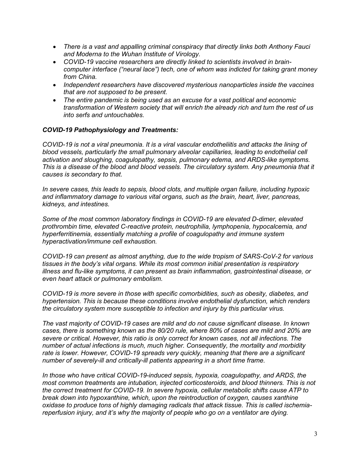- *There is a vast and appalling criminal conspiracy that directly links both Anthony Fauci and Moderna to the Wuhan Institute of Virology.*
- *COVID-19 vaccine researchers are directly linked to scientists involved in braincomputer interface ("neural lace") tech, one of whom was indicted for taking grant money from China.*
- *Independent researchers have discovered mysterious nanoparticles inside the vaccines that are not supposed to be present.*
- *The entire pandemic is being used as an excuse for a vast political and economic transformation of Western society that will enrich the already rich and turn the rest of us into serfs and untouchables.*

# *COVID-19 Pathophysiology and Treatments:*

*COVID-19 is not a viral pneumonia. It is a viral vascular endotheliitis and attacks the lining of blood vessels, particularly the small pulmonary alveolar capillaries, leading to endothelial cell activation and sloughing, coagulopathy, sepsis, pulmonary edema, and ARDS-like symptoms. This is a disease of the blood and blood vessels. The circulatory system. Any pneumonia that it causes is secondary to that.*

*In severe cases, this leads to sepsis, blood clots, and multiple organ failure, including hypoxic and inflammatory damage to various vital organs, such as the brain, heart, liver, pancreas, kidneys, and intestines.*

*Some of the most common laboratory findings in COVID-19 are elevated D-dimer, elevated prothrombin time, elevated C-reactive protein, neutrophilia, lymphopenia, hypocalcemia, and hyperferritinemia, essentially matching a profile of coagulopathy and immune system hyperactivation/immune cell exhaustion.*

*COVID-19 can present as almost anything, due to the wide tropism of SARS-CoV-2 for various tissues in the body's vital organs. While its most common initial presentation is respiratory illness and flu-like symptoms, it can present as brain inflammation, gastrointestinal disease, or even heart attack or pulmonary embolism.*

*COVID-19 is more severe in those with specific comorbidities, such as obesity, diabetes, and hypertension. This is because these conditions involve endothelial dysfunction, which renders the circulatory system more susceptible to infection and injury by this particular virus.*

*The vast majority of COVID-19 cases are mild and do not cause significant disease. In known cases, there is something known as the 80/20 rule, where 80% of cases are mild and 20% are severe or critical. However, this ratio is only correct for known cases, not all infections. The number of actual infections is much, much higher. Consequently, the mortality and morbidity rate is lower. However, COVID-19 spreads very quickly, meaning that there are a significant number of severely-ill and critically-ill patients appearing in a short time frame.*

*In those who have critical COVID-19-induced sepsis, hypoxia, coagulopathy, and ARDS, the most common treatments are intubation, injected corticosteroids, and blood thinners. This is not the correct treatment for COVID-19. In severe hypoxia, cellular metabolic shifts cause ATP to break down into hypoxanthine, which, upon the reintroduction of oxygen, causes xanthine oxidase to produce tons of highly damaging radicals that attack tissue. This is called ischemiareperfusion injury, and it's why the majority of people who go on a ventilator are dying.*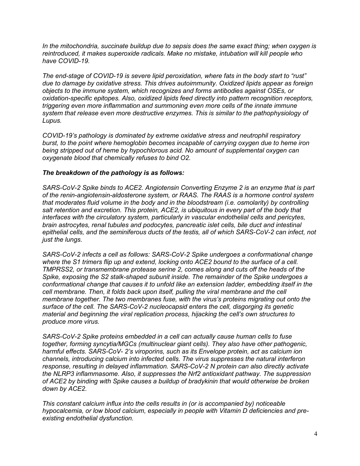*In the mitochondria, succinate buildup due to sepsis does the same exact thing; when oxygen is reintroduced, it makes superoxide radicals. Make no mistake, intubation will kill people who have COVID-19.*

*The end-stage of COVID-19 is severe lipid peroxidation, where fats in the body start to "rust" due to damage by oxidative stress. This drives autoimmunity. Oxidized lipids appear as foreign objects to the immune system, which recognizes and forms antibodies against OSEs, or oxidation-specific epitopes. Also, oxidized lipids feed directly into pattern recognition receptors, triggering even more inflammation and summoning even more cells of the innate immune system that release even more destructive enzymes. This is similar to the pathophysiology of Lupus.*

*COVID-19's pathology is dominated by extreme oxidative stress and neutrophil respiratory burst, to the point where hemoglobin becomes incapable of carrying oxygen due to heme iron being stripped out of heme by hypochlorous acid. No amount of supplemental oxygen can oxygenate blood that chemically refuses to bind O2.*

# *The breakdown of the pathology is as follows:*

*SARS-CoV-2 Spike binds to ACE2. Angiotensin Converting Enzyme 2 is an enzyme that is part of the renin-angiotensin-aldosterone system, or RAAS. The RAAS is a hormone control system that moderates fluid volume in the body and in the bloodstream (i.e. osmolarity) by controlling salt retention and excretion. This protein, ACE2, is ubiquitous in every part of the body that interfaces with the circulatory system, particularly in vascular endothelial cells and pericytes, brain astrocytes, renal tubules and podocytes, pancreatic islet cells, bile duct and intestinal epithelial cells, and the seminiferous ducts of the testis, all of which SARS-CoV-2 can infect, not just the lungs.*

*SARS-CoV-2 infects a cell as follows: SARS-CoV-2 Spike undergoes a conformational change where the S1 trimers flip up and extend, locking onto ACE2 bound to the surface of a cell. TMPRSS2, or transmembrane protease serine 2, comes along and cuts off the heads of the Spike, exposing the S2 stalk-shaped subunit inside. The remainder of the Spike undergoes a conformational change that causes it to unfold like an extension ladder, embedding itself in the cell membrane. Then, it folds back upon itself, pulling the viral membrane and the cell membrane together. The two membranes fuse, with the virus's proteins migrating out onto the surface of the cell. The SARS-CoV-2 nucleocapsid enters the cell, disgorging its genetic material and beginning the viral replication process, hijacking the cell's own structures to produce more virus.*

*SARS-CoV-2 Spike proteins embedded in a cell can actually cause human cells to fuse together, forming syncytia/MGCs (multinuclear giant cells). They also have other pathogenic, harmful effects. SARS-CoV- 2's viroporins, such as its Envelope protein, act as calcium ion channels, introducing calcium into infected cells. The virus suppresses the natural interferon response, resulting in delayed inflammation. SARS-CoV-2 N protein can also directly activate the NLRP3 inflammasome. Also, it suppresses the Nrf2 antioxidant pathway. The suppression of ACE2 by binding with Spike causes a buildup of bradykinin that would otherwise be broken down by ACE2.*

*This constant calcium influx into the cells results in (or is accompanied by) noticeable hypocalcemia, or low blood calcium, especially in people with Vitamin D deficiencies and preexisting endothelial dysfunction.*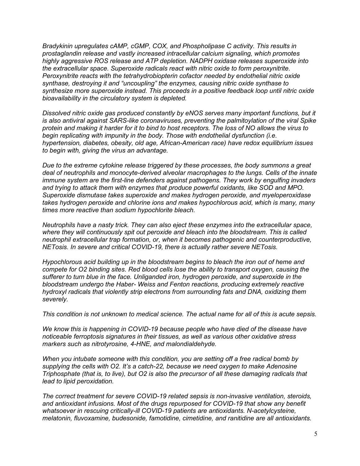*Bradykinin upregulates cAMP, cGMP, COX, and Phospholipase C activity. This results in prostaglandin release and vastly increased intracellular calcium signaling, which promotes highly aggressive ROS release and ATP depletion. NADPH oxidase releases superoxide into the extracellular space. Superoxide radicals react with nitric oxide to form peroxynitrite. Peroxynitrite reacts with the tetrahydrobiopterin cofactor needed by endothelial nitric oxide synthase, destroying it and "uncoupling" the enzymes, causing nitric oxide synthase to synthesize more superoxide instead. This proceeds in a positive feedback loop until nitric oxide bioavailability in the circulatory system is depleted.*

*Dissolved nitric oxide gas produced constantly by eNOS serves many important functions, but it is also antiviral against SARS-like coronaviruses, preventing the palmitoylation of the viral Spike protein and making it harder for it to bind to host receptors. The loss of NO allows the virus to begin replicating with impunity in the body. Those with endothelial dysfunction (i.e. hypertension, diabetes, obesity, old age, African-American race) have redox equilibrium issues to begin with, giving the virus an advantage.*

*Due to the extreme cytokine release triggered by these processes, the body summons a great deal of neutrophils and monocyte-derived alveolar macrophages to the lungs. Cells of the innate immune system are the first-line defenders against pathogens. They work by engulfing invaders and trying to attack them with enzymes that produce powerful oxidants, like SOD and MPO. Superoxide dismutase takes superoxide and makes hydrogen peroxide, and myeloperoxidase takes hydrogen peroxide and chlorine ions and makes hypochlorous acid, which is many, many times more reactive than sodium hypochlorite bleach.*

*Neutrophils have a nasty trick. They can also eject these enzymes into the extracellular space, where they will continuously spit out peroxide and bleach into the bloodstream. This is called neutrophil extracellular trap formation, or, when it becomes pathogenic and counterproductive, NETosis. In severe and critical COVID-19, there is actually rather severe NETosis.*

*Hypochlorous acid building up in the bloodstream begins to bleach the iron out of heme and compete for O2 binding sites. Red blood cells lose the ability to transport oxygen, causing the sufferer to turn blue in the face. Unliganded iron, hydrogen peroxide, and superoxide in the bloodstream undergo the Haber- Weiss and Fenton reactions, producing extremely reactive hydroxyl radicals that violently strip electrons from surrounding fats and DNA, oxidizing them severely.*

*This condition is not unknown to medical science. The actual name for all of this is acute sepsis.*

*We know this is happening in COVID-19 because people who have died of the disease have noticeable ferroptosis signatures in their tissues, as well as various other oxidative stress markers such as nitrotyrosine, 4-HNE, and malondialdehyde.*

*When you intubate someone with this condition, you are setting off a free radical bomb by supplying the cells with O2. It's a catch-22, because we need oxygen to make Adenosine Triphosphate (that is, to live), but O2 is also the precursor of all these damaging radicals that lead to lipid peroxidation.*

*The correct treatment for severe COVID-19 related sepsis is non-invasive ventilation, steroids, and antioxidant infusions. Most of the drugs repurposed for COVID-19 that show any benefit whatsoever in rescuing critically-ill COVID-19 patients are antioxidants. N-acetylcysteine, melatonin, fluvoxamine, budesonide, famotidine, cimetidine, and ranitidine are all antioxidants.*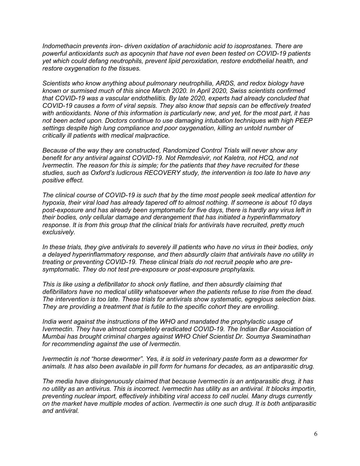*Indomethacin prevents iron- driven oxidation of arachidonic acid to isoprostanes. There are powerful antioxidants such as apocynin that have not even been tested on COVID-19 patients yet which could defang neutrophils, prevent lipid peroxidation, restore endothelial health, and restore oxygenation to the tissues.*

*Scientists who know anything about pulmonary neutrophilia, ARDS, and redox biology have known or surmised much of this since March 2020. In April 2020, Swiss scientists confirmed that COVID-19 was a vascular endotheliitis. By late 2020, experts had already concluded that COVID-19 causes a form of viral sepsis. They also know that sepsis can be effectively treated with antioxidants. None of this information is particularly new, and yet, for the most part, it has not been acted upon. Doctors continue to use damaging intubation techniques with high PEEP settings despite high lung compliance and poor oxygenation, killing an untold number of critically ill patients with medical malpractice.*

*Because of the way they are constructed, Randomized Control Trials will never show any benefit for any antiviral against COVID-19. Not Remdesivir, not Kaletra, not HCQ, and not Ivermectin. The reason for this is simple; for the patients that they have recruited for these studies, such as Oxford's ludicrous RECOVERY study, the intervention is too late to have any positive effect.*

*The clinical course of COVID-19 is such that by the time most people seek medical attention for hypoxia, their viral load has already tapered off to almost nothing. If someone is about 10 days post-exposure and has already been symptomatic for five days, there is hardly any virus left in their bodies, only cellular damage and derangement that has initiated a hyperinflammatory response. It is from this group that the clinical trials for antivirals have recruited, pretty much exclusively.*

*In these trials, they give antivirals to severely ill patients who have no virus in their bodies, only a delayed hyperinflammatory response, and then absurdly claim that antivirals have no utility in treating or preventing COVID-19. These clinical trials do not recruit people who are presymptomatic. They do not test pre-exposure or post-exposure prophylaxis.*

*This is like using a defibrillator to shock only flatline, and then absurdly claiming that defibrillators have no medical utility whatsoever when the patients refuse to rise from the dead. The intervention is too late. These trials for antivirals show systematic, egregious selection bias. They are providing a treatment that is futile to the specific cohort they are enrolling.*

*India went against the instructions of the WHO and mandated the prophylactic usage of Ivermectin. They have almost completely eradicated COVID-19. The Indian Bar Association of Mumbai has brought criminal charges against WHO Chief Scientist Dr. Soumya Swaminathan for recommending against the use of Ivermectin.*

*Ivermectin is not "horse dewormer". Yes, it is sold in veterinary paste form as a dewormer for animals. It has also been available in pill form for humans for decades, as an antiparasitic drug.*

*The media have disingenuously claimed that because Ivermectin is an antiparasitic drug, it has no utility as an antivirus. This is incorrect. Ivermectin has utility as an antiviral. It blocks importin, preventing nuclear import, effectively inhibiting viral access to cell nuclei. Many drugs currently on the market have multiple modes of action. Ivermectin is one such drug. It is both antiparasitic and antiviral.*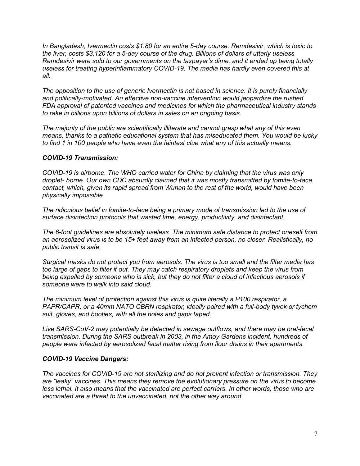*In Bangladesh, Ivermectin costs \$1.80 for an entire 5-day course. Remdesivir, which is toxic to the liver, costs \$3,120 for a 5-day course of the drug. Billions of dollars of utterly useless Remdesivir were sold to our governments on the taxpayer's dime, and it ended up being totally useless for treating hyperinflammatory COVID-19. The media has hardly even covered this at all.*

*The opposition to the use of generic Ivermectin is not based in science. It is purely financially and politically-motivated. An effective non-vaccine intervention would jeopardize the rushed FDA approval of patented vaccines and medicines for which the pharmaceutical industry stands to rake in billions upon billions of dollars in sales on an ongoing basis.*

*The majority of the public are scientifically illiterate and cannot grasp what any of this even means, thanks to a pathetic educational system that has miseducated them. You would be lucky to find 1 in 100 people who have even the faintest clue what any of this actually means.*

# *COVID-19 Transmission:*

*COVID-19 is airborne. The WHO carried water for China by claiming that the virus was only droplet- borne. Our own CDC absurdly claimed that it was mostly transmitted by fomite-to-face contact, which, given its rapid spread from Wuhan to the rest of the world, would have been physically impossible.*

*The ridiculous belief in fomite-to-face being a primary mode of transmission led to the use of surface disinfection protocols that wasted time, energy, productivity, and disinfectant.*

*The 6-foot guidelines are absolutely useless. The minimum safe distance to protect oneself from an aerosolized virus is to be 15+ feet away from an infected person, no closer. Realistically, no public transit is safe.*

*Surgical masks do not protect you from aerosols. The virus is too small and the filter media has too large of gaps to filter it out. They may catch respiratory droplets and keep the virus from being expelled by someone who is sick, but they do not filter a cloud of infectious aerosols if someone were to walk into said cloud.*

*The minimum level of protection against this virus is quite literally a P100 respirator, a PAPR/CAPR, or a 40mm NATO CBRN respirator, ideally paired with a full-body tyvek or tychem suit, gloves, and booties, with all the holes and gaps taped.*

*Live SARS-CoV-2 may potentially be detected in sewage outflows, and there may be oral-fecal transmission. During the SARS outbreak in 2003, in the Amoy Gardens incident, hundreds of people were infected by aerosolized fecal matter rising from floor drains in their apartments.*

#### *COVID-19 Vaccine Dangers:*

*The vaccines for COVID-19 are not sterilizing and do not prevent infection or transmission. They are "leaky" vaccines. This means they remove the evolutionary pressure on the virus to become less lethal. It also means that the vaccinated are perfect carriers. In other words, those who are vaccinated are a threat to the unvaccinated, not the other way around.*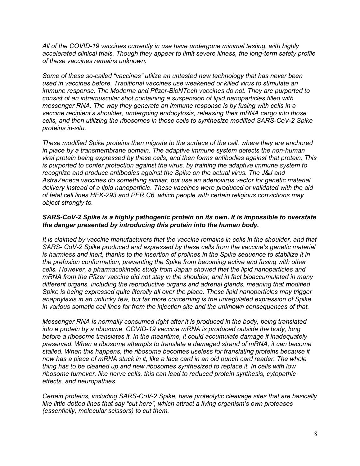*All of the COVID-19 vaccines currently in use have undergone minimal testing, with highly accelerated clinical trials. Though they appear to limit severe illness, the long-term safety profile of these vaccines remains unknown.*

*Some of these so-called "vaccines" utilize an untested new technology that has never been used in vaccines before. Traditional vaccines use weakened or killed virus to stimulate an immune response. The Moderna and Pfizer-BioNTech vaccines do not. They are purported to consist of an intramuscular shot containing a suspension of lipid nanoparticles filled with messenger RNA. The way they generate an immune response is by fusing with cells in a vaccine recipient's shoulder, undergoing endocytosis, releasing their mRNA cargo into those cells, and then utilizing the ribosomes in those cells to synthesize modified SARS-CoV-2 Spike proteins in-situ.*

*These modified Spike proteins then migrate to the surface of the cell, where they are anchored in place by a transmembrane domain. The adaptive immune system detects the non-human viral protein being expressed by these cells, and then forms antibodies against that protein. This is purported to confer protection against the virus, by training the adaptive immune system to recognize and produce antibodies against the Spike on the actual virus. The J&J and AstraZeneca vaccines do something similar, but use an adenovirus vector for genetic material delivery instead of a lipid nanoparticle. These vaccines were produced or validated with the aid of fetal cell lines HEK-293 and PER.C6, which people with certain religious convictions may object strongly to.*

# *SARS-CoV-2 Spike is a highly pathogenic protein on its own. It is impossible to overstate the danger presented by introducing this protein into the human body.*

*It is claimed by vaccine manufacturers that the vaccine remains in cells in the shoulder, and that*  SARS- CoV-2 Spike produced and expressed by these cells from the vaccine's genetic material *is harmless and inert, thanks to the insertion of prolines in the Spike sequence to stabilize it in the prefusion conformation, preventing the Spike from becoming active and fusing with other cells. However, a pharmacokinetic study from Japan showed that the lipid nanoparticles and mRNA from the Pfizer vaccine did not stay in the shoulder, and in fact bioaccumulated in many different organs, including the reproductive organs and adrenal glands, meaning that modified Spike is being expressed quite literally all over the place. These lipid nanoparticles may trigger anaphylaxis in an unlucky few, but far more concerning is the unregulated expression of Spike in various somatic cell lines far from the injection site and the unknown consequences of that.*

*Messenger RNA is normally consumed right after it is produced in the body, being translated into a protein by a ribosome. COVID-19 vaccine mRNA is produced outside the body, long before a ribosome translates it. In the meantime, it could accumulate damage if inadequately preserved. When a ribosome attempts to translate a damaged strand of mRNA, it can become stalled. When this happens, the ribosome becomes useless for translating proteins because it now has a piece of mRNA stuck in it, like a lace card in an old punch card reader. The whole thing has to be cleaned up and new ribosomes synthesized to replace it. In cells with low ribosome turnover, like nerve cells, this can lead to reduced protein synthesis, cytopathic effects, and neuropathies.*

*Certain proteins, including SARS-CoV-2 Spike, have proteolytic cleavage sites that are basically like little dotted lines that say "cut here", which attract a living organism's own proteases (essentially, molecular scissors) to cut them.*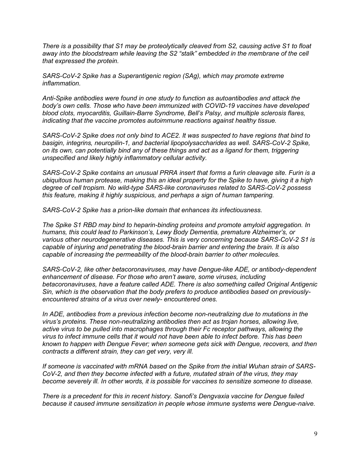*There is a possibility that S1 may be proteolytically cleaved from S2, causing active S1 to float away into the bloodstream while leaving the S2 "stalk" embedded in the membrane of the cell that expressed the protein.*

*SARS-CoV-2 Spike has a Superantigenic region (SAg), which may promote extreme inflammation.*

*Anti-Spike antibodies were found in one study to function as autoantibodies and attack the body's own cells. Those who have been immunized with COVID-19 vaccines have developed blood clots, myocarditis, Guillain-Barre Syndrome, Bell's Palsy, and multiple sclerosis flares, indicating that the vaccine promotes autoimmune reactions against healthy tissue.*

*SARS-CoV-2 Spike does not only bind to ACE2. It was suspected to have regions that bind to basigin, integrins, neuropilin-1, and bacterial lipopolysaccharides as well. SARS-CoV-2 Spike, on its own, can potentially bind any of these things and act as a ligand for them, triggering unspecified and likely highly inflammatory cellular activity.*

*SARS-CoV-2 Spike contains an unusual PRRA insert that forms a furin cleavage site. Furin is a ubiquitous human protease, making this an ideal property for the Spike to have, giving it a high degree of cell tropism. No wild-type SARS-like coronaviruses related to SARS-CoV-2 possess this feature, making it highly suspicious, and perhaps a sign of human tampering.*

*SARS-CoV-2 Spike has a prion-like domain that enhances its infectiousness.*

*The Spike S1 RBD may bind to heparin-binding proteins and promote amyloid aggregation. In humans, this could lead to Parkinson's, Lewy Body Dementia, premature Alzheimer's, or various other neurodegenerative diseases. This is very concerning because SARS-CoV-2 S1 is capable of injuring and penetrating the blood-brain barrier and entering the brain. It is also capable of increasing the permeability of the blood-brain barrier to other molecules.*

*SARS-CoV-2, like other betacoronaviruses, may have Dengue-like ADE, or antibody-dependent enhancement of disease. For those who aren't aware, some viruses, including betacoronaviruses, have a feature called ADE. There is also something called Original Antigenic Sin, which is the observation that the body prefers to produce antibodies based on previouslyencountered strains of a virus over newly- encountered ones.*

*In ADE, antibodies from a previous infection become non-neutralizing due to mutations in the virus's proteins. These non-neutralizing antibodies then act as trojan horses, allowing live, active virus to be pulled into macrophages through their Fc receptor pathways, allowing the virus to infect immune cells that it would not have been able to infect before. This has been known to happen with Dengue Fever; when someone gets sick with Dengue, recovers, and then contracts a different strain, they can get very, very ill.*

*If someone is vaccinated with mRNA based on the Spike from the initial Wuhan strain of SARS-CoV-2, and then they become infected with a future, mutated strain of the virus, they may become severely ill. In other words, it is possible for vaccines to sensitize someone to disease.*

*There is a precedent for this in recent history. Sanofi's Dengvaxia vaccine for Dengue failed because it caused immune sensitization in people whose immune systems were Dengue-naive.*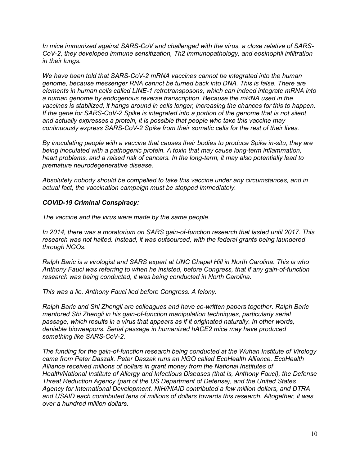*In mice immunized against SARS-CoV and challenged with the virus, a close relative of SARS-CoV-2, they developed immune sensitization, Th2 immunopathology, and eosinophil infiltration in their lungs.*

*We have been told that SARS-CoV-2 mRNA vaccines cannot be integrated into the human genome, because messenger RNA cannot be turned back into DNA. This is false. There are elements in human cells called LINE-1 retrotransposons, which can indeed integrate mRNA into a human genome by endogenous reverse transcription. Because the mRNA used in the vaccines is stabilized, it hangs around in cells longer, increasing the chances for this to happen. If the gene for SARS-CoV-2 Spike is integrated into a portion of the genome that is not silent and actually expresses a protein, it is possible that people who take this vaccine may continuously express SARS-CoV-2 Spike from their somatic cells for the rest of their lives.*

*By inoculating people with a vaccine that causes their bodies to produce Spike in-situ, they are being inoculated with a pathogenic protein. A toxin that may cause long-term inflammation, heart problems, and a raised risk of cancers. In the long-term, it may also potentially lead to premature neurodegenerative disease.*

*Absolutely nobody should be compelled to take this vaccine under any circumstances, and in actual fact, the vaccination campaign must be stopped immediately.*

# *COVID-19 Criminal Conspiracy:*

*The vaccine and the virus were made by the same people.*

*In 2014, there was a moratorium on SARS gain-of-function research that lasted until 2017. This research was not halted. Instead, it was outsourced, with the federal grants being laundered through NGOs.*

*Ralph Baric is a virologist and SARS expert at UNC Chapel Hill in North Carolina. This is who Anthony Fauci was referring to when he insisted, before Congress, that if any gain-of-function research was being conducted, it was being conducted in North Carolina.*

*This was a lie. Anthony Fauci lied before Congress. A felony.*

*Ralph Baric and Shi Zhengli are colleagues and have co-written papers together. Ralph Baric mentored Shi Zhengli in his gain-of-function manipulation techniques, particularly serial passage, which results in a virus that appears as if it originated naturally. In other words, deniable bioweapons. Serial passage in humanized hACE2 mice may have produced something like SARS-CoV-2.*

*The funding for the gain-of-function research being conducted at the Wuhan Institute of Virology came from Peter Daszak. Peter Daszak runs an NGO called EcoHealth Alliance. EcoHealth Alliance received millions of dollars in grant money from the National Institutes of Health/National Institute of Allergy and Infectious Diseases (that is, Anthony Fauci), the Defense Threat Reduction Agency (part of the US Department of Defense), and the United States Agency for International Development. NIH/NIAID contributed a few million dollars, and DTRA and USAID each contributed tens of millions of dollars towards this research. Altogether, it was over a hundred million dollars.*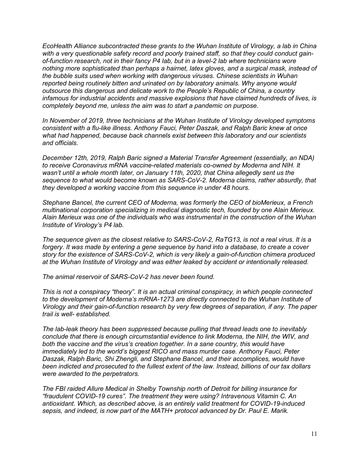*EcoHealth Alliance subcontracted these grants to the Wuhan Institute of Virology, a lab in China with a very questionable safety record and poorly trained staff, so that they could conduct gainof-function research, not in their fancy P4 lab, but in a level-2 lab where technicians wore nothing more sophisticated than perhaps a hairnet, latex gloves, and a surgical mask, instead of the bubble suits used when working with dangerous viruses. Chinese scientists in Wuhan reported being routinely bitten and urinated on by laboratory animals. Why anyone would outsource this dangerous and delicate work to the People's Republic of China, a country infamous for industrial accidents and massive explosions that have claimed hundreds of lives, is completely beyond me, unless the aim was to start a pandemic on purpose.*

*In November of 2019, three technicians at the Wuhan Institute of Virology developed symptoms consistent with a flu-like illness. Anthony Fauci, Peter Daszak, and Ralph Baric knew at once what had happened, because back channels exist between this laboratory and our scientists and officials.*

*December 12th, 2019, Ralph Baric signed a Material Transfer Agreement (essentially, an NDA) to receive Coronavirus mRNA vaccine-related materials co-owned by Moderna and NIH. It wasn't until a whole month later, on January 11th, 2020, that China allegedly sent us the sequence to what would become known as SARS-CoV-2. Moderna claims, rather absurdly, that they developed a working vaccine from this sequence in under 48 hours.*

*Stephane Bancel, the current CEO of Moderna, was formerly the CEO of bioMerieux, a French multinational corporation specializing in medical diagnostic tech, founded by one Alain Merieux. Alain Merieux was one of the individuals who was instrumental in the construction of the Wuhan Institute of Virology's P4 lab.*

*The sequence given as the closest relative to SARS-CoV-2, RaTG13, is not a real virus. It is a forgery. It was made by entering a gene sequence by hand into a database, to create a cover story for the existence of SARS-CoV-2, which is very likely a gain-of-function chimera produced at the Wuhan Institute of Virology and was either leaked by accident or intentionally released.*

*The animal reservoir of SARS-CoV-2 has never been found.*

*This is not a conspiracy "theory". It is an actual criminal conspiracy, in which people connected to the development of Moderna's mRNA-1273 are directly connected to the Wuhan Institute of Virology and their gain-of-function research by very few degrees of separation, if any. The paper trail is well- established.*

*The lab-leak theory has been suppressed because pulling that thread leads one to inevitably conclude that there is enough circumstantial evidence to link Moderna, the NIH, the WIV, and both the vaccine and the virus's creation together. In a sane country, this would have immediately led to the world's biggest RICO and mass murder case. Anthony Fauci, Peter Daszak, Ralph Baric, Shi Zhengli, and Stephane Bancel, and their accomplices, would have been indicted and prosecuted to the fullest extent of the law. Instead, billions of our tax dollars were awarded to the perpetrators.*

*The FBI raided Allure Medical in Shelby Township north of Detroit for billing insurance for "fraudulent COVID-19 cures". The treatment they were using? Intravenous Vitamin C. An antioxidant. Which, as described above, is an entirely valid treatment for COVID-19-induced sepsis, and indeed, is now part of the MATH+ protocol advanced by Dr. Paul E. Marik.*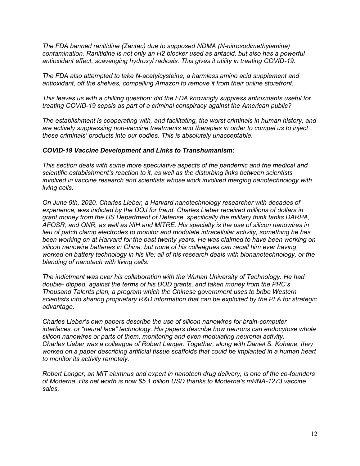*The FDA banned ranitidine (Zantac) due to supposed NDMA (N-nitrosodimethylamine) contamination. Ranitidine is not only an H2 blocker used as antacid, but also has a powerful antioxidant effect, scavenging hydroxyl radicals. This gives it utility in treating COVID-19.*

*The FDA also attempted to take N-acetylcysteine, a harmless amino acid supplement and antioxidant, off the shelves, compelling Amazon to remove it from their online storefront.*

*This leaves us with a chilling question: did the FDA knowingly suppress antioxidants useful for treating COVID-19 sepsis as part of a criminal conspiracy against the American public?*

*The establishment is cooperating with, and facilitating, the worst criminals in human history, and are actively suppressing non-vaccine treatments and therapies in order to compel us to inject these criminals' products into our bodies. This is absolutely unacceptable.*

#### *COVID-19 Vaccine Development and Links to Transhumanism:*

*This section deals with some more speculative aspects of the pandemic and the medical and scientific establishment's reaction to it, as well as the disturbing links between scientists involved in vaccine research and scientists whose work involved merging nanotechnology with living cells.*

*On June 9th, 2020, Charles Lieber, a Harvard nanotechnology researcher with decades of experience, was indicted by the DOJ for fraud. Charles Lieber received millions of dollars in grant money from the US Department of Defense, specifically the military think tanks DARPA, AFOSR, and ONR, as well as NIH and MITRE. His specialty is the use of silicon nanowires in lieu of patch clamp electrodes to monitor and modulate intracellular activity, something he has been working on at Harvard for the past twenty years. He was claimed to have been working on silicon nanowire batteries in China, but none of his colleagues can recall him ever having worked on battery technology in his life; all of his research deals with bionanotechnology, or the blending of nanotech with living cells.*

*The indictment was over his collaboration with the Wuhan University of Technology. He had double- dipped, against the terms of his DOD grants, and taken money from the PRC's Thousand Talents plan, a program which the Chinese government uses to bribe Western scientists into sharing proprietary R&D information that can be exploited by the PLA for strategic advantage.*

*Charles Lieber's own papers describe the use of silicon nanowires for brain-computer interfaces, or "neural lace" technology. His papers describe how neurons can endocytose whole silicon nanowires or parts of them, monitoring and even modulating neuronal activity. Charles Lieber was a colleague of Robert Langer. Together, along with Daniel S. Kohane, they*  worked on a paper describing artificial tissue scaffolds that could be implanted in a human heart *to monitor its activity remotely.*

*Robert Langer, an MIT alumnus and expert in nanotech drug delivery, is one of the co-founders of Moderna. His net worth is now \$5.1 billion USD thanks to Moderna's mRNA-1273 vaccine sales.*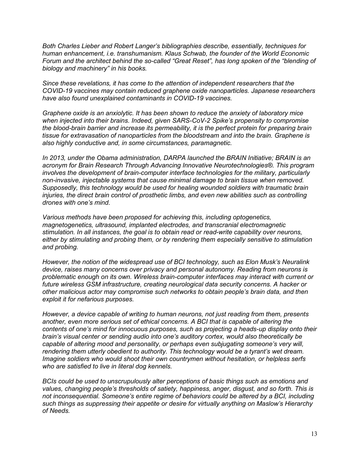*Both Charles Lieber and Robert Langer's bibliographies describe, essentially, techniques for human enhancement, i.e. transhumanism. Klaus Schwab, the founder of the World Economic Forum and the architect behind the so-called "Great Reset", has long spoken of the "blending of biology and machinery" in his books.*

*Since these revelations, it has come to the attention of independent researchers that the COVID-19 vaccines may contain reduced graphene oxide nanoparticles. Japanese researchers have also found unexplained contaminants in COVID-19 vaccines.*

*Graphene oxide is an anxiolytic. It has been shown to reduce the anxiety of laboratory mice when injected into their brains. Indeed, given SARS-CoV-2 Spike's propensity to compromise the blood-brain barrier and increase its permeability, it is the perfect protein for preparing brain tissue for extravasation of nanoparticles from the bloodstream and into the brain. Graphene is also highly conductive and, in some circumstances, paramagnetic.*

In 2013, under the Obama administration, DARPA launched the BRAIN Initiative; BRAIN is an *acronym for Brain Research Through Advancing Innovative Neurotechnologies®. This program involves the development of brain-computer interface technologies for the military, particularly non-invasive, injectable systems that cause minimal damage to brain tissue when removed. Supposedly, this technology would be used for healing wounded soldiers with traumatic brain injuries, the direct brain control of prosthetic limbs, and even new abilities such as controlling drones with one's mind.*

*Various methods have been proposed for achieving this, including optogenetics, magnetogenetics, ultrasound, implanted electrodes, and transcranial electromagnetic stimulation. In all instances, the goal is to obtain read or read-write capability over neurons, either by stimulating and probing them, or by rendering them especially sensitive to stimulation and probing.*

*However, the notion of the widespread use of BCI technology, such as Elon Musk's Neuralink device, raises many concerns over privacy and personal autonomy. Reading from neurons is problematic enough on its own. Wireless brain-computer interfaces may interact with current or future wireless GSM infrastructure, creating neurological data security concerns. A hacker or other malicious actor may compromise such networks to obtain people's brain data, and then exploit it for nefarious purposes.*

*However, a device capable of writing to human neurons, not just reading from them, presents another, even more serious set of ethical concerns. A BCI that is capable of altering the contents of one's mind for innocuous purposes, such as projecting a heads-up display onto their brain's visual center or sending audio into one's auditory cortex, would also theoretically be capable of altering mood and personality, or perhaps even subjugating someone's very will, rendering them utterly obedient to authority. This technology would be a tyrant's wet dream. Imagine soldiers who would shoot their own countrymen without hesitation, or helpless serfs who are satisfied to live in literal dog kennels.*

*BCIs could be used to unscrupulously alter perceptions of basic things such as emotions and values, changing people's thresholds of satiety, happiness, anger, disgust, and so forth. This is not inconsequential. Someone's entire regime of behaviors could be altered by a BCI, including such things as suppressing their appetite or desire for virtually anything on Maslow's Hierarchy of Needs.*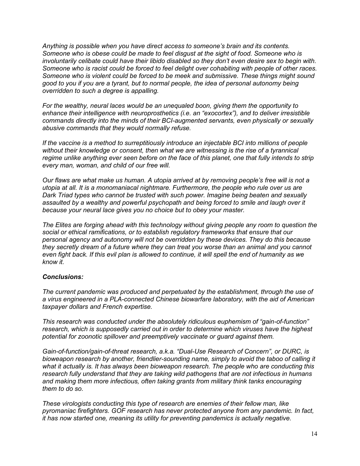*Anything is possible when you have direct access to someone's brain and its contents. Someone who is obese could be made to feel disgust at the sight of food. Someone who is involuntarily celibate could have their libido disabled so they don't even desire sex to begin with. Someone who is racist could be forced to feel delight over cohabiting with people of other races. Someone who is violent could be forced to be meek and submissive. These things might sound good to you if you are a tyrant, but to normal people, the idea of personal autonomy being overridden to such a degree is appalling.*

*For the wealthy, neural laces would be an unequaled boon, giving them the opportunity to enhance their intelligence with neuroprosthetics (i.e. an "exocortex"), and to deliver irresistible commands directly into the minds of their BCI-augmented servants, even physically or sexually abusive commands that they would normally refuse.*

*If the vaccine is a method to surreptitiously introduce an injectable BCI into millions of people without their knowledge or consent, then what we are witnessing is the rise of a tyrannical regime unlike anything ever seen before on the face of this planet, one that fully intends to strip every man, woman, and child of our free will.*

*Our flaws are what make us human. A utopia arrived at by removing people's free will is not a utopia at all. It is a monomaniacal nightmare. Furthermore, the people who rule over us are Dark Triad types who cannot be trusted with such power. Imagine being beaten and sexually assaulted by a wealthy and powerful psychopath and being forced to smile and laugh over it because your neural lace gives you no choice but to obey your master.*

*The Elites are forging ahead with this technology without giving people any room to question the social or ethical ramifications, or to establish regulatory frameworks that ensure that our personal agency and autonomy will not be overridden by these devices. They do this because they secretly dream of a future where they can treat you worse than an animal and you cannot even fight back. If this evil plan is allowed to continue, it will spell the end of humanity as we know it.*

# *Conclusions:*

*The current pandemic was produced and perpetuated by the establishment, through the use of a virus engineered in a PLA-connected Chinese biowarfare laboratory, with the aid of American taxpayer dollars and French expertise.*

*This research was conducted under the absolutely ridiculous euphemism of "gain-of-function" research, which is supposedly carried out in order to determine which viruses have the highest potential for zoonotic spillover and preemptively vaccinate or guard against them.*

*Gain-of-function/gain-of-threat research, a.k.a. "Dual-Use Research of Concern", or DURC, is bioweapon research by another, friendlier-sounding name, simply to avoid the taboo of calling it what it actually is. It has always been bioweapon research. The people who are conducting this research fully understand that they are taking wild pathogens that are not infectious in humans and making them more infectious, often taking grants from military think tanks encouraging them to do so.*

*These virologists conducting this type of research are enemies of their fellow man, like pyromaniac firefighters. GOF research has never protected anyone from any pandemic. In fact, it has now started one, meaning its utility for preventing pandemics is actually negative.*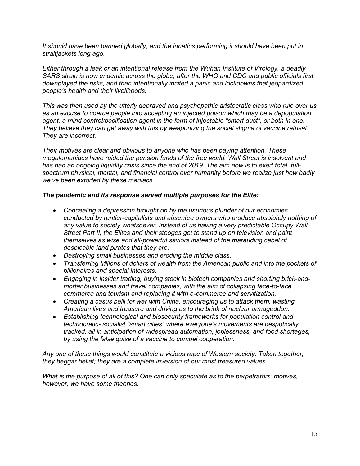*It should have been banned globally, and the lunatics performing it should have been put in straitjackets long ago.*

*Either through a leak or an intentional release from the Wuhan Institute of Virology, a deadly SARS strain is now endemic across the globe, after the WHO and CDC and public officials first downplayed the risks, and then intentionally incited a panic and lockdowns that jeopardized people's health and their livelihoods.*

*This was then used by the utterly depraved and psychopathic aristocratic class who rule over us as an excuse to coerce people into accepting an injected poison which may be a depopulation agent, a mind control/pacification agent in the form of injectable "smart dust", or both in one. They believe they can get away with this by weaponizing the social stigma of vaccine refusal. They are incorrect.*

*Their motives are clear and obvious to anyone who has been paying attention. These megalomaniacs have raided the pension funds of the free world. Wall Street is insolvent and has had an ongoing liquidity crisis since the end of 2019. The aim now is to exert total, fullspectrum physical, mental, and financial control over humanity before we realize just how badly we've been extorted by these maniacs.*

# *The pandemic and its response served multiple purposes for the Elite:*

- *Concealing a depression brought on by the usurious plunder of our economies conducted by rentier-capitalists and absentee owners who produce absolutely nothing of*  any value to society whatsoever. Instead of us having a very predictable Occupy Wall *Street Part II, the Elites and their stooges got to stand up on television and paint themselves as wise and all-powerful saviors instead of the marauding cabal of despicable land pirates that they are.*
- *Destroying small businesses and eroding the middle class.*
- *Transferring trillions of dollars of wealth from the American public and into the pockets of billionaires and special interests.*
- *Engaging in insider trading, buying stock in biotech companies and shorting brick-andmortar businesses and travel companies, with the aim of collapsing face-to-face commerce and tourism and replacing it with e-commerce and servitization.*
- *Creating a casus belli for war with China, encouraging us to attack them, wasting American lives and treasure and driving us to the brink of nuclear armageddon.*
- *Establishing technological and biosecurity frameworks for population control and technocratic- socialist "smart cities" where everyone's movements are despotically tracked, all in anticipation of widespread automation, joblessness, and food shortages, by using the false guise of a vaccine to compel cooperation.*

*Any one of these things would constitute a vicious rape of Western society. Taken together, they beggar belief; they are a complete inversion of our most treasured values.*

*What is the purpose of all of this? One can only speculate as to the perpetrators' motives, however, we have some theories.*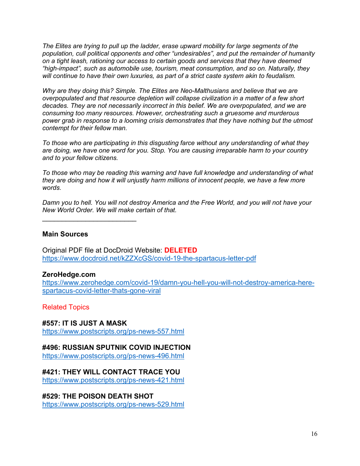*The Elites are trying to pull up the ladder, erase upward mobility for large segments of the population, cull political opponents and other "undesirables", and put the remainder of humanity on a tight leash, rationing our access to certain goods and services that they have deemed "high-impact", such as automobile use, tourism, meat consumption, and so on. Naturally, they will continue to have their own luxuries, as part of a strict caste system akin to feudalism.*

*Why are they doing this? Simple. The Elites are Neo-Malthusians and believe that we are overpopulated and that resource depletion will collapse civilization in a matter of a few short decades. They are not necessarily incorrect in this belief. We are overpopulated, and we are consuming too many resources. However, orchestrating such a gruesome and murderous power grab in response to a looming crisis demonstrates that they have nothing but the utmost contempt for their fellow man.*

*To those who are participating in this disgusting farce without any understanding of what they are doing, we have one word for you. Stop. You are causing irreparable harm to your country and to your fellow citizens.*

*To those who may be reading this warning and have full knowledge and understanding of what they are doing and how it will unjustly harm millions of innocent people, we have a few more words.*

*Damn you to hell. You will not destroy America and the Free World, and you will not have your New World Order. We will make certain of that.*

**Main Sources**

 $\mathcal{L}_\text{max}$  , where  $\mathcal{L}_\text{max}$  , we have the set of the set of the set of the set of the set of the set of the set of the set of the set of the set of the set of the set of the set of the set of the set of the set of

Original PDF file at DocDroid Website: **DELETED** <https://www.docdroid.net/kZZXcGS/covid-19-the-spartacus-letter-pdf>

# **ZeroHedge.com**

[https://www.zerohedge.com/covid-19/damn-you-hell-you-will-not-destroy-america-here](https://www.zerohedge.com/covid-19/damn-you-hell-you-will-not-destroy-america-here-spartacus-covid-letter-thats-gone-viral)[spartacus-covid-letter-thats-gone-viral](https://www.zerohedge.com/covid-19/damn-you-hell-you-will-not-destroy-america-here-spartacus-covid-letter-thats-gone-viral)

Related Topics

**#557: IT IS JUST A MASK**

<https://www.postscripts.org/ps-news-557.html>

# **#496: RUSSIAN SPUTNIK COVID INJECTION**

<https://www.postscripts.org/ps-news-496.html>

# **#421: THEY WILL CONTACT TRACE YOU**

<https://www.postscripts.org/ps-news-421.html>

**#529: THE POISON DEATH SHOT** <https://www.postscripts.org/ps-news-529.html>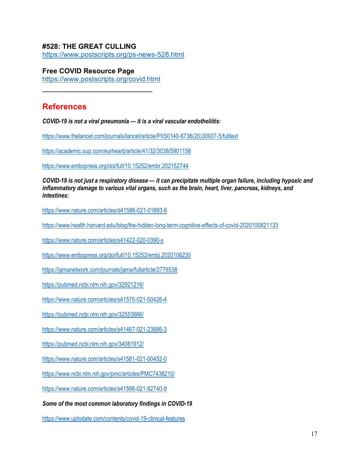# **#528: THE GREAT CULLING**

<https://www.postscripts.org/ps-news-528.html>

**Free COVID Resource Page**

<https://www.postscripts.org/covid.html>  $\mathcal{L}_\text{max}$  , where  $\mathcal{L}_\text{max}$  , we have the set of the set of the set of the set of the set of the set of the set of the set of the set of the set of the set of the set of the set of the set of the set of the set of

# **References**

*COVID-19 is not a viral pneumonia — it is a viral vascular endotheliitis:*

[https://www.thelancet.com/journals/lancet/article/PIIS0140-6736\(20\)30937-5/fulltext](https://www.thelancet.com/journals/lancet/article/PIIS0140-6736(20)30937-5/fulltext)

<https://academic.oup.com/eurheartj/article/41/32/3038/5901158>

<https://www.embopress.org/doi/full/10.15252/embr.202152744>

*COVID-19 is not just a respiratory disease — it can precipitate multiple organ failure, including hypoxic and inflammatory damage to various vital organs, such as the brain, heart, liver, pancreas, kidneys, and intestines:*

<https://www.nature.com/articles/d41586-021-01693-6>

<https://www.health.harvard.edu/blog/the-hidden-long-term-cognitive-effects-of-covid-2020100821133>

<https://www.nature.com/articles/s41422-020-0390-x>

<https://www.embopress.org/doi/full/10.15252/embj.2020106230>

<https://jamanetwork.com/journals/jama/fullarticle/2776538>

<https://pubmed.ncbi.nlm.nih.gov/32921216/>

<https://www.nature.com/articles/s41575-021-00426-4>

<https://pubmed.ncbi.nlm.nih.gov/32553666/>

<https://www.nature.com/articles/s41467-021-23886-3>

<https://pubmed.ncbi.nlm.nih.gov/34081912/>

<https://www.nature.com/articles/s41581-021-00452-0>

<https://www.ncbi.nlm.nih.gov/pmc/articles/PMC7438210/>

<https://www.nature.com/articles/s41598-021-92740-9>

*Some of the most common laboratory findings in COVID-19* 

<https://www.uptodate.com/contents/covid-19-clinical-features>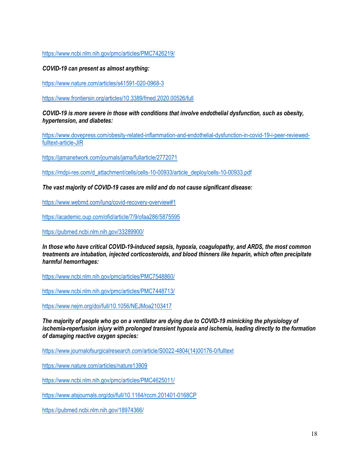<https://www.ncbi.nlm.nih.gov/pmc/articles/PMC7426219/>

*COVID-19 can present as almost anything:*

<https://www.nature.com/articles/s41591-020-0968-3>

<https://www.frontiersin.org/articles/10.3389/fmed.2020.00526/full>

*COVID-19 is more severe in those with conditions that involve endothelial dysfunction, such as obesity, hypertension, and diabetes:*

[https://www.dovepress.com/obesity-related-inflammation-and-endothelial-dysfunction-in-covid-19-i-peer-reviewed](https://www.dovepress.com/obesity-related-inflammation-and-endothelial-dysfunction-in-covid-19-i-peer-reviewed-fulltext-article-JIR)[fulltext-article-JIR](https://www.dovepress.com/obesity-related-inflammation-and-endothelial-dysfunction-in-covid-19-i-peer-reviewed-fulltext-article-JIR)

<https://jamanetwork.com/journals/jama/fullarticle/2772071>

[https://mdpi-res.com/d\\_attachment/cells/cells-10-00933/article\\_deploy/cells-10-00933.pdf](https://mdpi-res.com/d_attachment/cells/cells-10-00933/article_deploy/cells-10-00933.pdf)

*The vast majority of COVID-19 cases are mild and do not cause significant disease:*

<https://www.webmd.com/lung/covid-recovery-overview#1>

<https://academic.oup.com/ofid/article/7/9/ofaa286/5875595>

<https://pubmed.ncbi.nlm.nih.gov/33289900/>

*In those who have critical COVID-19-induced sepsis, hypoxia, coagulopathy, and ARDS, the most common treatments are intubation, injected corticosteroids, and blood thinners like heparin, which often precipitate harmful hemorrhages:*

<https://www.ncbi.nlm.nih.gov/pmc/articles/PMC7548860/>

<https://www.ncbi.nlm.nih.gov/pmc/articles/PMC7448713/>

<https://www.nejm.org/doi/full/10.1056/NEJMoa2103417>

*The majority of people who go on a ventilator are dying due to COVID-19 mimicking the physiology of ischemia-reperfusion injury with prolonged transient hypoxia and ischemia, leading directly to the formation of damaging reactive oxygen species:*

[https://www.journalofsurgicalresearch.com/article/S0022-4804\(14\)00176-0/fulltext](https://www.journalofsurgicalresearch.com/article/S0022-4804(14)00176-0/fulltext)

<https://www.nature.com/articles/nature13909>

<https://www.ncbi.nlm.nih.gov/pmc/articles/PMC4625011/>

<https://www.atsjournals.org/doi/full/10.1164/rccm.201401-0168CP>

<https://pubmed.ncbi.nlm.nih.gov/18974366/>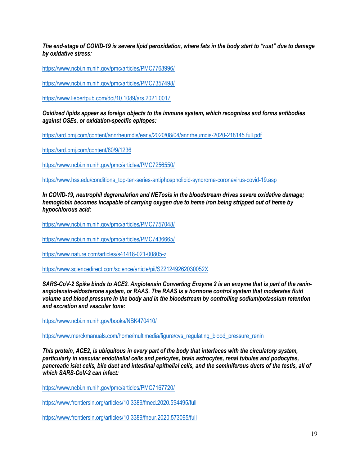*The end-stage of COVID-19 is severe lipid peroxidation, where fats in the body start to "rust" due to damage by oxidative stress:*

<https://www.ncbi.nlm.nih.gov/pmc/articles/PMC7768996/>

<https://www.ncbi.nlm.nih.gov/pmc/articles/PMC7357498/>

<https://www.liebertpub.com/doi/10.1089/ars.2021.0017>

*Oxidized lipids appear as foreign objects to the immune system, which recognizes and forms antibodies against OSEs, or oxidation-specific epitopes:*

<https://ard.bmj.com/content/annrheumdis/early/2020/08/04/annrheumdis-2020-218145.full.pdf>

<https://ard.bmj.com/content/80/9/1236>

<https://www.ncbi.nlm.nih.gov/pmc/articles/PMC7256550/>

[https://www.hss.edu/conditions\\_top-ten-series-antiphospholipid-syndrome-coronavirus-covid-19.asp](https://www.hss.edu/conditions_top-ten-series-antiphospholipid-syndrome-coronavirus-covid-19.asp)

*In COVID-19, neutrophil degranulation and NETosis in the bloodstream drives severe oxidative damage; hemoglobin becomes incapable of carrying oxygen due to heme iron being stripped out of heme by hypochlorous acid:*

<https://www.ncbi.nlm.nih.gov/pmc/articles/PMC7757048/>

<https://www.ncbi.nlm.nih.gov/pmc/articles/PMC7436665/>

<https://www.nature.com/articles/s41418-021-00805-z>

<https://www.sciencedirect.com/science/article/pii/S221249262030052X>

*SARS-CoV-2 Spike binds to ACE2. Angiotensin Converting Enzyme 2 is an enzyme that is part of the reninangiotensin-aldosterone system, or RAAS. The RAAS is a hormone control system that moderates fluid volume and blood pressure in the body and in the bloodstream by controlling sodium/potassium retention and excretion and vascular tone:*

<https://www.ncbi.nlm.nih.gov/books/NBK470410/>

[https://www.merckmanuals.com/home/multimedia/figure/cvs\\_regulating\\_blood\\_pressure\\_renin](https://www.merckmanuals.com/home/multimedia/figure/cvs_regulating_blood_pressure_renin)

*This protein, ACE2, is ubiquitous in every part of the body that interfaces with the circulatory system, particularly in vascular endothelial cells and pericytes, brain astrocytes, renal tubules and podocytes, pancreatic islet cells, bile duct and intestinal epithelial cells, and the seminiferous ducts of the testis, all of which SARS-CoV-2 can infect:*

<https://www.ncbi.nlm.nih.gov/pmc/articles/PMC7167720/>

<https://www.frontiersin.org/articles/10.3389/fmed.2020.594495/full>

<https://www.frontiersin.org/articles/10.3389/fneur.2020.573095/full>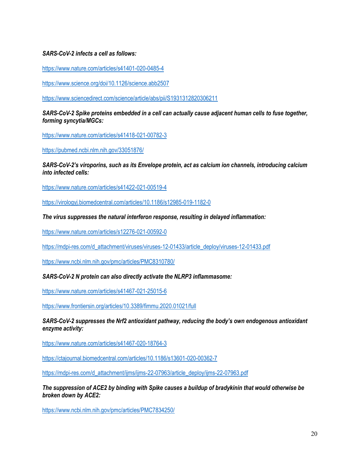# *SARS-CoV-2 infects a cell as follows:*

<https://www.nature.com/articles/s41401-020-0485-4>

<https://www.science.org/doi/10.1126/science.abb2507>

<https://www.sciencedirect.com/science/article/abs/pii/S1931312820306211>

# *SARS-CoV-2 Spike proteins embedded in a cell can actually cause adjacent human cells to fuse together, forming syncytia/MGCs:*

<https://www.nature.com/articles/s41418-021-00782-3>

<https://pubmed.ncbi.nlm.nih.gov/33051876/>

*SARS-CoV-2's viroporins, such as its Envelope protein, act as calcium ion channels, introducing calcium into infected cells:*

<https://www.nature.com/articles/s41422-021-00519-4>

<https://virologyj.biomedcentral.com/articles/10.1186/s12985-019-1182-0>

*The virus suppresses the natural interferon response, resulting in delayed inflammation:*

<https://www.nature.com/articles/s12276-021-00592-0>

[https://mdpi-res.com/d\\_attachment/viruses/viruses-12-01433/article\\_deploy/viruses-12-01433.pdf](https://mdpi-res.com/d_attachment/viruses/viruses-12-01433/article_deploy/viruses-12-01433.pdf)

<https://www.ncbi.nlm.nih.gov/pmc/articles/PMC8310780/>

*SARS-CoV-2 N protein can also directly activate the NLRP3 inflammasome:*

<https://www.nature.com/articles/s41467-021-25015-6>

<https://www.frontiersin.org/articles/10.3389/fimmu.2020.01021/full>

*SARS-CoV-2 suppresses the Nrf2 antioxidant pathway, reducing the body's own endogenous antioxidant enzyme activity:*

<https://www.nature.com/articles/s41467-020-18764-3>

<https://ctajournal.biomedcentral.com/articles/10.1186/s13601-020-00362-7>

[https://mdpi-res.com/d\\_attachment/ijms/ijms-22-07963/article\\_deploy/ijms-22-07963.pdf](https://mdpi-res.com/d_attachment/ijms/ijms-22-07963/article_deploy/ijms-22-07963.pdf)

*The suppression of ACE2 by binding with Spike causes a buildup of bradykinin that would otherwise be broken down by ACE2:*

<https://www.ncbi.nlm.nih.gov/pmc/articles/PMC7834250/>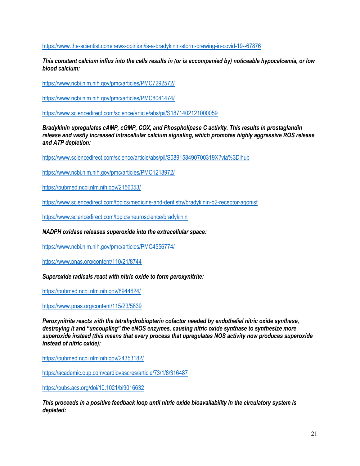<https://www.the-scientist.com/news-opinion/is-a-bradykinin-storm-brewing-in-covid-19--67876>

*This constant calcium influx into the cells results in (or is accompanied by) noticeable hypocalcemia, or low blood calcium:*

<https://www.ncbi.nlm.nih.gov/pmc/articles/PMC7292572/>

<https://www.ncbi.nlm.nih.gov/pmc/articles/PMC8041474/>

<https://www.sciencedirect.com/science/article/abs/pii/S1871402121000059>

*Bradykinin upregulates cAMP, cGMP, COX, and Phospholipase C activity. This results in prostaglandin release and vastly increased intracellular calcium signaling, which promotes highly aggressive ROS release and ATP depletion:*

<https://www.sciencedirect.com/science/article/abs/pii/S089158490700319X?via%3Dihub>

<https://www.ncbi.nlm.nih.gov/pmc/articles/PMC1218972/>

<https://pubmed.ncbi.nlm.nih.gov/2156053/>

<https://www.sciencedirect.com/topics/medicine-and-dentistry/bradykinin-b2-receptor-agonist>

<https://www.sciencedirect.com/topics/neuroscience/bradykinin>

#### *NADPH oxidase releases superoxide into the extracellular space:*

<https://www.ncbi.nlm.nih.gov/pmc/articles/PMC4556774/>

<https://www.pnas.org/content/110/21/8744>

*Superoxide radicals react with nitric oxide to form peroxynitrite:*

<https://pubmed.ncbi.nlm.nih.gov/8944624/>

<https://www.pnas.org/content/115/23/5839>

*Peroxynitrite reacts with the tetrahydrobiopterin cofactor needed by endothelial nitric oxide synthase, destroying it and "uncoupling" the eNOS enzymes, causing nitric oxide synthase to synthesize more superoxide instead (this means that every process that upregulates NOS activity now produces superoxide instead of nitric oxide):*

<https://pubmed.ncbi.nlm.nih.gov/24353182/>

<https://academic.oup.com/cardiovascres/article/73/1/8/316487>

<https://pubs.acs.org/doi/10.1021/bi9016632>

*This proceeds in a positive feedback loop until nitric oxide bioavailability in the circulatory system is depleted:*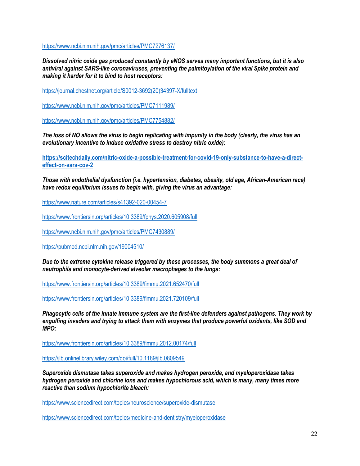<https://www.ncbi.nlm.nih.gov/pmc/articles/PMC7276137/>

*Dissolved nitric oxide gas produced constantly by eNOS serves many important functions, but it is also antiviral against SARS-like coronaviruses, preventing the palmitoylation of the viral Spike protein and making it harder for it to bind to host receptors:*

[https://journal.chestnet.org/article/S0012-3692\(20\)34397-X/fulltext](https://journal.chestnet.org/article/S0012-3692(20)34397-X/fulltext)

<https://www.ncbi.nlm.nih.gov/pmc/articles/PMC7111989/>

<https://www.ncbi.nlm.nih.gov/pmc/articles/PMC7754882/>

*The loss of NO allows the virus to begin replicating with impunity in the body (clearly, the virus has an evolutionary incentive to induce oxidative stress to destroy nitric oxide):*

**[https://scitechdaily.com/nitric-oxide-a-possible-treatment-for-covid-19-only-substance-to-have-a-direct](https://scitechdaily.com/nitric-oxide-a-possible-treatment-for-covid-19-only-substance-to-have-a-direct-effect-on-sars-cov-2)[effect-on-sars-cov-2](https://scitechdaily.com/nitric-oxide-a-possible-treatment-for-covid-19-only-substance-to-have-a-direct-effect-on-sars-cov-2)**

*Those with endothelial dysfunction (i.e. hypertension, diabetes, obesity, old age, African-American race) have redox equilibrium issues to begin with, giving the virus an advantage:*

<https://www.nature.com/articles/s41392-020-00454-7>

<https://www.frontiersin.org/articles/10.3389/fphys.2020.605908/full>

<https://www.ncbi.nlm.nih.gov/pmc/articles/PMC7430889/>

<https://pubmed.ncbi.nlm.nih.gov/19004510/>

*Due to the extreme cytokine release triggered by these processes, the body summons a great deal of neutrophils and monocyte-derived alveolar macrophages to the lungs:*

<https://www.frontiersin.org/articles/10.3389/fimmu.2021.652470/full>

<https://www.frontiersin.org/articles/10.3389/fimmu.2021.720109/full>

*Phagocytic cells of the innate immune system are the first-line defenders against pathogens. They work by engulfing invaders and trying to attack them with enzymes that produce powerful oxidants, like SOD and MPO:*

<https://www.frontiersin.org/articles/10.3389/fimmu.2012.00174/full>

<https://jlb.onlinelibrary.wiley.com/doi/full/10.1189/jlb.0809549>

*Superoxide dismutase takes superoxide and makes hydrogen peroxide, and myeloperoxidase takes hydrogen peroxide and chlorine ions and makes hypochlorous acid, which is many, many times more reactive than sodium hypochlorite bleach:*

<https://www.sciencedirect.com/topics/neuroscience/superoxide-dismutase>

<https://www.sciencedirect.com/topics/medicine-and-dentistry/myeloperoxidase>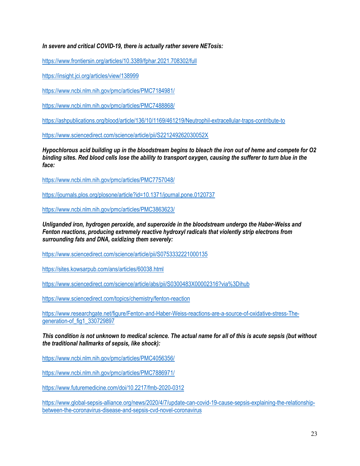# *In severe and critical COVID-19, there is actually rather severe NETosis:*

<https://www.frontiersin.org/articles/10.3389/fphar.2021.708302/full>

<https://insight.jci.org/articles/view/138999>

<https://www.ncbi.nlm.nih.gov/pmc/articles/PMC7184981/>

<https://www.ncbi.nlm.nih.gov/pmc/articles/PMC7488868/>

<https://ashpublications.org/blood/article/136/10/1169/461219/Neutrophil-extracellular-traps-contribute-to>

<https://www.sciencedirect.com/science/article/pii/S221249262030052X>

*Hypochlorous acid building up in the bloodstream begins to bleach the iron out of heme and compete for O2 binding sites. Red blood cells lose the ability to transport oxygen, causing the sufferer to turn blue in the face:*

<https://www.ncbi.nlm.nih.gov/pmc/articles/PMC7757048/>

<https://journals.plos.org/plosone/article?id=10.1371/journal.pone.0120737>

<https://www.ncbi.nlm.nih.gov/pmc/articles/PMC3863623/>

*Unliganded iron, hydrogen peroxide, and superoxide in the bloodstream undergo the Haber-Weiss and Fenton reactions, producing extremely reactive hydroxyl radicals that violently strip electrons from surrounding fats and DNA, oxidizing them severely:*

<https://www.sciencedirect.com/science/article/pii/S0753332221000135>

<https://sites.kowsarpub.com/ans/articles/60038.html>

<https://www.sciencedirect.com/science/article/abs/pii/S0300483X00002316?via%3Dihub>

<https://www.sciencedirect.com/topics/chemistry/fenton-reaction>

[https://www.researchgate.net/figure/Fenton-and-Haber-Weiss-reactions-are-a-source-of-oxidative-stress-The](https://www.researchgate.net/figure/Fenton-and-Haber-Weiss-reactions-are-a-source-of-oxidative-stress-The-generation-of_fig1_330729897)[generation-of\\_fig1\\_330729897](https://www.researchgate.net/figure/Fenton-and-Haber-Weiss-reactions-are-a-source-of-oxidative-stress-The-generation-of_fig1_330729897)

*This condition is not unknown to medical science. The actual name for all of this is acute sepsis (but without the traditional hallmarks of sepsis, like shock):*

<https://www.ncbi.nlm.nih.gov/pmc/articles/PMC4056356/>

<https://www.ncbi.nlm.nih.gov/pmc/articles/PMC7886971/>

<https://www.futuremedicine.com/doi/10.2217/fmb-2020-0312>

[https://www.global-sepsis-alliance.org/news/2020/4/7/update-can-covid-19-cause-sepsis-explaining-the-relationship](https://www.global-sepsis-alliance.org/news/2020/4/7/update-can-covid-19-cause-sepsis-explaining-the-relationship-between-the-coronavirus-disease-and-sepsis-cvd-novel-coronavirus)[between-the-coronavirus-disease-and-sepsis-cvd-novel-coronavirus](https://www.global-sepsis-alliance.org/news/2020/4/7/update-can-covid-19-cause-sepsis-explaining-the-relationship-between-the-coronavirus-disease-and-sepsis-cvd-novel-coronavirus)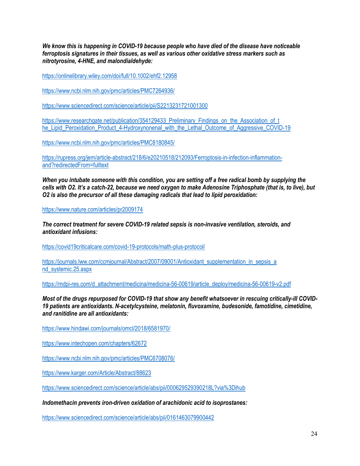*We know this is happening in COVID-19 because people who have died of the disease have noticeable ferroptosis signatures in their tissues, as well as various other oxidative stress markers such as nitrotyrosine, 4-HNE, and malondialdehyde:*

<https://onlinelibrary.wiley.com/doi/full/10.1002/ehf2.12958>

<https://www.ncbi.nlm.nih.gov/pmc/articles/PMC7264936/>

<https://www.sciencedirect.com/science/article/pii/S2213231721001300>

https://www.researchgate.net/publication/354129433\_Preliminary\_Findings\_on\_the\_Association\_of\_t [he\\_Lipid\\_Peroxidation\\_Product\\_4-Hydroxynonenal\\_with\\_the\\_Lethal\\_Outcome\\_of\\_Aggressive\\_COVID-19](https://www.researchgate.net/publication/354129433_Preliminary_Findings_on_the_Association_of_t%20he_Lipid_Peroxidation_Product_4-Hydroxynonenal_with_the_Lethal_Outcome_of_Aggressive_COVID-19)

<https://www.ncbi.nlm.nih.gov/pmc/articles/PMC8180845/>

[https://rupress.org/jem/article-abstract/218/6/e20210518/212093/Ferroptosis-in-infection-inflammation](https://rupress.org/jem/article-abstract/218/6/e20210518/212093/Ferroptosis-in-infection-inflammation-and?redirectedFrom=fulltext)[and?redirectedFrom=fulltext](https://rupress.org/jem/article-abstract/218/6/e20210518/212093/Ferroptosis-in-infection-inflammation-and?redirectedFrom=fulltext)

*When you intubate someone with this condition, you are setting off a free radical bomb by supplying the cells with O2. It's a catch-22, because we need oxygen to make Adenosine Triphosphate (that is, to live), but O2 is also the precursor of all these damaging radicals that lead to lipid peroxidation:*

<https://www.nature.com/articles/pr2009174>

*The correct treatment for severe COVID-19 related sepsis is non-invasive ventilation, steroids, and antioxidant infusions:*

<https://covid19criticalcare.com/covid-19-protocols/math-plus-protocol/>

https://journals.lww.com/ccmjournal/Abstract/2007/09001/Antioxidant\_supplementation\_in\_sepsis\_a [nd\\_systemic.25.aspx](https://journals.lww.com/ccmjournal/Abstract/2007/09001/Antioxidant_supplementation_in_sepsis_a%20nd_systemic.25.aspx)

[https://mdpi-res.com/d\\_attachment/medicina/medicina-56-00619/article\\_deploy/medicina-56-00619-v2.pdf](https://mdpi-res.com/d_attachment/medicina/medicina-56-00619/article_deploy/medicina-56-00619-v2.pdf)

*Most of the drugs repurposed for COVID-19 that show any benefit whatsoever in rescuing critically-ill COVID-19 patients are antioxidants. N-acetylcysteine, melatonin, fluvoxamine, budesonide, famotidine, cimetidine, and ranitidine are all antioxidants:*

<https://www.hindawi.com/journals/omcl/2018/6581970/>

<https://www.intechopen.com/chapters/62672>

<https://www.ncbi.nlm.nih.gov/pmc/articles/PMC6708076/>

<https://www.karger.com/Article/Abstract/88623>

<https://www.sciencedirect.com/science/article/abs/pii/000629529390218L?via%3Dihub>

*Indomethacin prevents iron-driven oxidation of arachidonic acid to isoprostanes:*

<https://www.sciencedirect.com/science/article/abs/pii/0161463079900442>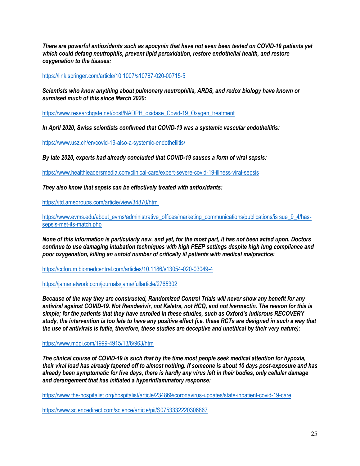*There are powerful antioxidants such as apocynin that have not even been tested on COVID-19 patients yet which could defang neutrophils, prevent lipid peroxidation, restore endothelial health, and restore oxygenation to the tissues:*

<https://link.springer.com/article/10.1007/s10787-020-00715-5>

*Scientists who know anything about pulmonary neutrophilia, ARDS, and redox biology have known or surmised much of this since March 2020:*

[https://www.researchgate.net/post/NADPH\\_oxidase\\_Covid-19\\_Oxygen\\_treatment](https://www.researchgate.net/post/NADPH_oxidase_Covid-19_Oxygen_treatment)

*In April 2020, Swiss scientists confirmed that COVID-19 was a systemic vascular endotheliitis:*

<https://www.usz.ch/en/covid-19-also-a-systemic-endotheliitis/>

*By late 2020, experts had already concluded that COVID-19 causes a form of viral sepsis:*

<https://www.healthleadersmedia.com/clinical-care/expert-severe-covid-19-illness-viral-sepsis>

*They also know that sepsis can be effectively treated with antioxidants:*

<https://jtd.amegroups.com/article/view/34870/html>

[https://www.evms.edu/about\\_evms/administrative\\_offices/marketing\\_communications/publications/is sue\\_9\\_4/has](https://www.evms.edu/about_evms/administrative_offices/marketing_communications/publications/is%20sue_9_4/has-sepsis-met-its-match.php)[sepsis-met-its-match.php](https://www.evms.edu/about_evms/administrative_offices/marketing_communications/publications/is%20sue_9_4/has-sepsis-met-its-match.php)

*None of this information is particularly new, and yet, for the most part, it has not been acted upon. Doctors continue to use damaging intubation techniques with high PEEP settings despite high lung compliance and poor oxygenation, killing an untold number of critically ill patients with medical malpractice:*

<https://ccforum.biomedcentral.com/articles/10.1186/s13054-020-03049-4>

<https://jamanetwork.com/journals/jama/fullarticle/2765302>

*Because of the way they are constructed, Randomized Control Trials will never show any benefit for any antiviral against COVID-19. Not Remdesivir, not Kaletra, not HCQ, and not Ivermectin. The reason for this is simple; for the patients that they have enrolled in these studies, such as Oxford's ludicrous RECOVERY study, the intervention is too late to have any positive effect (i.e. these RCTs are designed in such a way that the use of antivirals is futile, therefore, these studies are deceptive and unethical by their very nature):*

<https://www.mdpi.com/1999-4915/13/6/963/htm>

*The clinical course of COVID-19 is such that by the time most people seek medical attention for hypoxia, their viral load has already tapered off to almost nothing. If someone is about 10 days post-exposure and has already been symptomatic for five days, there is hardly any virus left in their bodies, only cellular damage and derangement that has initiated a hyperinflammatory response:*

<https://www.the-hospitalist.org/hospitalist/article/234869/coronavirus-updates/state-inpatient-covid-19-care>

<https://www.sciencedirect.com/science/article/pii/S0753332220306867>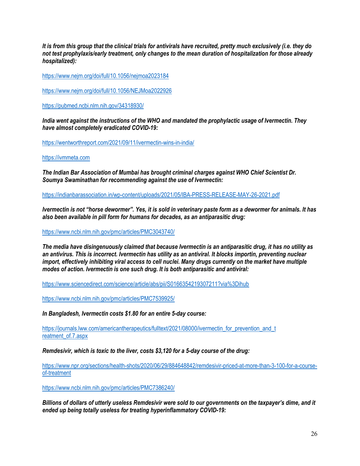*It is from this group that the clinical trials for antivirals have recruited, pretty much exclusively (i.e. they do not test prophylaxis/early treatment, only changes to the mean duration of hospitalization for those already hospitalized):*

<https://www.nejm.org/doi/full/10.1056/nejmoa2023184>

<https://www.nejm.org/doi/full/10.1056/NEJMoa2022926>

<https://pubmed.ncbi.nlm.nih.gov/34318930/>

*India went against the instructions of the WHO and mandated the prophylactic usage of Ivermectin. They have almost completely eradicated COVID-19:*

<https://wentworthreport.com/2021/09/11/ivermectin-wins-in-india/>

[https://ivmmeta.com](https://ivmmeta.com/)

*The Indian Bar Association of Mumbai has brought criminal charges against WHO Chief Scientist Dr. Soumya Swaminathan for recommending against the use of Ivermectin:*

<https://indianbarassociation.in/wp-content/uploads/2021/05/IBA-PRESS-RELEASE-MAY-26-2021.pdf>

*Ivermectin is not "horse dewormer". Yes, it is sold in veterinary paste form as a dewormer for animals. It has also been available in pill form for humans for decades, as an antiparasitic drug:*

<https://www.ncbi.nlm.nih.gov/pmc/articles/PMC3043740/>

*The media have disingenuously claimed that because Ivermectin is an antiparasitic drug, it has no utility as an antivirus. This is incorrect. Ivermectin has utility as an antiviral. It blocks importin, preventing nuclear import, effectively inhibiting viral access to cell nuclei. Many drugs currently on the market have multiple modes of action. Ivermectin is one such drug. It is both antiparasitic and antiviral:*

<https://www.sciencedirect.com/science/article/abs/pii/S0166354219307211?via%3Dihub>

<https://www.ncbi.nlm.nih.gov/pmc/articles/PMC7539925/>

*In Bangladesh, Ivermectin costs \$1.80 for an entire 5-day course:*

https://journals.lww.com/americantherapeutics/fulltext/2021/08000/ivermectin\_for\_prevention\_and\_t reatment of 7.aspx

*Remdesivir, which is toxic to the liver, costs \$3,120 for a 5-day course of the drug:*

[https://www.npr.org/sections/health-shots/2020/06/29/884648842/remdesivir-priced-at-more-than-3-100-for-a-course](https://www.npr.org/sections/health-shots/2020/06/29/884648842/remdesivir-priced-at-more-than-3-100-for-a-course-of-treatment)[of-treatment](https://www.npr.org/sections/health-shots/2020/06/29/884648842/remdesivir-priced-at-more-than-3-100-for-a-course-of-treatment)

<https://www.ncbi.nlm.nih.gov/pmc/articles/PMC7386240/>

*Billions of dollars of utterly useless Remdesivir were sold to our governments on the taxpayer's dime, and it ended up being totally useless for treating hyperinflammatory COVID-19:*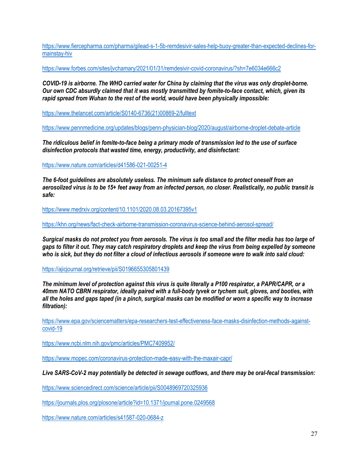[https://www.fiercepharma.com/pharma/gilead-s-1-5b-remdesivir-sales-help-buoy-greater-than-expected-declines-for](https://www.fiercepharma.com/pharma/gilead-s-1-5b-remdesivir-sales-help-buoy-greater-than-expected-declines-for-mainstay-hiv)[mainstay-hiv](https://www.fiercepharma.com/pharma/gilead-s-1-5b-remdesivir-sales-help-buoy-greater-than-expected-declines-for-mainstay-hiv)

<https://www.forbes.com/sites/jvchamary/2021/01/31/remdesivir-covid-coronavirus/?sh=7e6034e666c2>

*COVID-19 is airborne. The WHO carried water for China by claiming that the virus was only droplet-borne. Our own CDC absurdly claimed that it was mostly transmitted by fomite-to-face contact, which, given its rapid spread from Wuhan to the rest of the world, would have been physically impossible:*

[https://www.thelancet.com/article/S0140-6736\(21\)00869-2/fulltext](https://www.thelancet.com/article/S0140-6736(21)00869-2/fulltext)

<https://www.pennmedicine.org/updates/blogs/penn-physician-blog/2020/august/airborne-droplet-debate-article>

*The ridiculous belief in fomite-to-face being a primary mode of transmission led to the use of surface disinfection protocols that wasted time, energy, productivity, and disinfectant:*

<https://www.nature.com/articles/d41586-021-00251-4>

*The 6-foot guidelines are absolutely useless. The minimum safe distance to protect oneself from an aerosolized virus is to be 15+ feet away from an infected person, no closer. Realistically, no public transit is safe:*

<https://www.medrxiv.org/content/10.1101/2020.08.03.20167395v1>

<https://khn.org/news/fact-check-airborne-transmission-coronavirus-science-behind-aerosol-spread/>

*Surgical masks do not protect you from aerosols. The virus is too small and the filter media has too large of gaps to filter it out. They may catch respiratory droplets and keep the virus from being expelled by someone who is sick, but they do not filter a cloud of infectious aerosols if someone were to walk into said cloud:*

<https://ajicjournal.org/retrieve/pii/S0196655305801439>

*The minimum level of protection against this virus is quite literally a P100 respirator, a PAPR/CAPR, or a 40mm NATO CBRN respirator, ideally paired with a full-body tyvek or tychem suit, gloves, and booties, with all the holes and gaps taped (in a pinch, surgical masks can be modified or worn a specific way to increase filtration):*

[https://www.epa.gov/sciencematters/epa-researchers-test-effectiveness-face-masks-disinfection-methods-against](https://www.epa.gov/sciencematters/epa-researchers-test-effectiveness-face-masks-disinfection-methods-against-covid-19)[covid-19](https://www.epa.gov/sciencematters/epa-researchers-test-effectiveness-face-masks-disinfection-methods-against-covid-19)

<https://www.ncbi.nlm.nih.gov/pmc/articles/PMC7409952/>

<https://www.mopec.com/coronavirus-protection-made-easy-with-the-maxair-capr/>

*Live SARS-CoV-2 may potentially be detected in sewage outflows, and there may be oral-fecal transmission:*

<https://www.sciencedirect.com/science/article/pii/S0048969720325936>

<https://journals.plos.org/plosone/article?id=10.1371/journal.pone.0249568>

<https://www.nature.com/articles/s41587-020-0684-z>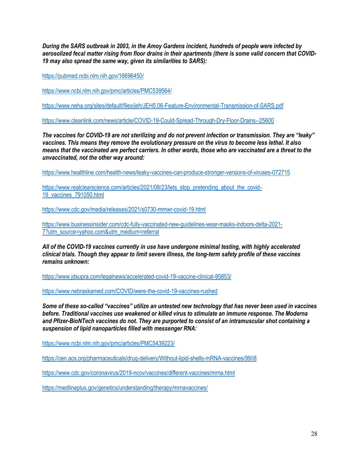*During the SARS outbreak in 2003, in the Amoy Gardens incident, hundreds of people were infected by aerosolized fecal matter rising from floor drains in their apartments (there is some valid concern that COVID-19 may also spread the same way, given its similarities to SARS):*

<https://pubmed.ncbi.nlm.nih.gov/16696450/>

<https://www.ncbi.nlm.nih.gov/pmc/articles/PMC539564/>

<https://www.neha.org/sites/default/files/jeh/JEH5.06-Feature-Environmental-Transmission-of-SARS.pdf>

<https://www.cleanlink.com/news/article/COVID-19-Could-Spread-Through-Dry-Floor-Drains--25600>

*The vaccines for COVID-19 are not sterilizing and do not prevent infection or transmission. They are "leaky" vaccines. This means they remove the evolutionary pressure on the virus to become less lethal. It also means that the vaccinated are perfect carriers. In other words, those who are vaccinated are a threat to the unvaccinated, not the other way around:*

<https://www.healthline.com/health-news/leaky-vaccines-can-produce-stronger-versions-of-viruses-072715>

[https://www.realclearscience.com/articles/2021/08/23/lets\\_stop\\_pretending\\_about\\_the\\_covid-](https://www.realclearscience.com/articles/2021/08/23/lets_stop_pretending_about_the_covid-19_vaccines_791050.html)[19\\_vaccines\\_791050.html](https://www.realclearscience.com/articles/2021/08/23/lets_stop_pretending_about_the_covid-19_vaccines_791050.html)

<https://www.cdc.gov/media/releases/2021/s0730-mmwr-covid-19.html>

[https://www.businessinsider.com/cdc-fully-vaccinated-new-guidelines-wear-masks-indoors-delta-2021-](https://www.businessinsider.com/cdc-fully-vaccinated-new-guidelines-wear-masks-indoors-delta-2021-7?utm_source=yahoo.com&utm_medium=referral) [7?utm\\_source=yahoo.com&utm\\_medium=referral](https://www.businessinsider.com/cdc-fully-vaccinated-new-guidelines-wear-masks-indoors-delta-2021-7?utm_source=yahoo.com&utm_medium=referral)

*All of the COVID-19 vaccines currently in use have undergone minimal testing, with highly accelerated clinical trials. Though they appear to limit severe illness, the long-term safety profile of these vaccines remains unknown:*

<https://www.jdsupra.com/legalnews/accelerated-covid-19-vaccine-clinical-95853/>

<https://www.nebraskamed.com/COVID/were-the-covid-19-vaccines-rushed>

*Some of these so-called "vaccines" utilize an untested new technology that has never been used in vaccines before. Traditional vaccines use weakened or killed virus to stimulate an immune response. The Moderna and Pfizer-BioNTech vaccines do not. They are purported to consist of an intramuscular shot containing a suspension of lipid nanoparticles filled with messenger RNA:*

<https://www.ncbi.nlm.nih.gov/pmc/articles/PMC5439223/>

<https://cen.acs.org/pharmaceuticals/drug-delivery/Without-lipid-shells-mRNA-vaccines/99/i8>

<https://www.cdc.gov/coronavirus/2019-ncov/vaccines/different-vaccines/mrna.html>

<https://medlineplus.gov/genetics/understanding/therapy/mrnavaccines/>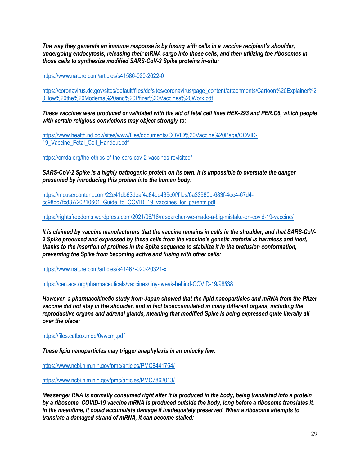*The way they generate an immune response is by fusing with cells in a vaccine recipient's shoulder, undergoing endocytosis, releasing their mRNA cargo into those cells, and then utilizing the ribosomes in those cells to synthesize modified SARS-CoV-2 Spike proteins in-situ:*

<https://www.nature.com/articles/s41586-020-2622-0>

[https://coronavirus.dc.gov/sites/default/files/dc/sites/coronavirus/page\\_content/attachments/Cartoon%20Explainer%2](https://coronavirus.dc.gov/sites/default/files/dc/sites/coronavirus/page_content/attachments/Cartoon%20Explainer%20How%20the%20Moderna%20and%20Pfizer%20Vaccines%20Work.pdf) [0How%20the%20Moderna%20and%20Pfizer%20Vaccines%20Work.pdf](https://coronavirus.dc.gov/sites/default/files/dc/sites/coronavirus/page_content/attachments/Cartoon%20Explainer%20How%20the%20Moderna%20and%20Pfizer%20Vaccines%20Work.pdf)

*These vaccines were produced or validated with the aid of fetal cell lines HEK-293 and PER.C6, which people with certain religious convictions may object strongly to:*

[https://www.health.nd.gov/sites/www/files/documents/COVID%20Vaccine%20Page/COVID-](https://www.health.nd.gov/sites/www/files/documents/COVID%20Vaccine%20Page/COVID-19_Vaccine_Fetal_Cell_Handout.pdf)[19\\_Vaccine\\_Fetal\\_Cell\\_Handout.pdf](https://www.health.nd.gov/sites/www/files/documents/COVID%20Vaccine%20Page/COVID-19_Vaccine_Fetal_Cell_Handout.pdf)

<https://cmda.org/the-ethics-of-the-sars-cov-2-vaccines-revisited/>

*SARS-CoV-2 Spike is a highly pathogenic protein on its own. It is impossible to overstate the danger presented by introducing this protein into the human body:*

[https://mcusercontent.com/22e41db63deaf4a84be439c0f/files/6a33980b-683f-4ee4-67d4](https://mcusercontent.com/22e41db63deaf4a84be439c0f/files/6a33980b-683f-4ee4-67d4-cc98dc7fcd37/20210601_Guide_to_COVID_19_vaccines_for_parents.pdf) [cc98dc7fcd37/20210601\\_Guide\\_to\\_COVID\\_19\\_vaccines\\_for\\_parents.pdf](https://mcusercontent.com/22e41db63deaf4a84be439c0f/files/6a33980b-683f-4ee4-67d4-cc98dc7fcd37/20210601_Guide_to_COVID_19_vaccines_for_parents.pdf)

<https://rightsfreedoms.wordpress.com/2021/06/16/researcher-we-made-a-big-mistake-on-covid-19-vaccine/>

*It is claimed by vaccine manufacturers that the vaccine remains in cells in the shoulder, and that SARS-CoV-2 Spike produced and expressed by these cells from the vaccine's genetic material is harmless and inert, thanks to the insertion of prolines in the Spike sequence to stabilize it in the prefusion conformation, preventing the Spike from becoming active and fusing with other cells:*

<https://www.nature.com/articles/s41467-020-20321-x>

<https://cen.acs.org/pharmaceuticals/vaccines/tiny-tweak-behind-COVID-19/98/i38>

*However, a pharmacokinetic study from Japan showed that the lipid nanoparticles and mRNA from the Pfizer vaccine did not stay in the shoulder, and in fact bioaccumulated in many different organs, including the reproductive organs and adrenal glands, meaning that modified Spike is being expressed quite literally all over the place:*

<https://files.catbox.moe/0vwcmj.pdf>

*These lipid nanoparticles may trigger anaphylaxis in an unlucky few:*

<https://www.ncbi.nlm.nih.gov/pmc/articles/PMC8441754/>

<https://www.ncbi.nlm.nih.gov/pmc/articles/PMC7862013/>

*Messenger RNA is normally consumed right after it is produced in the body, being translated into a protein by a ribosome. COVID-19 vaccine mRNA is produced outside the body, long before a ribosome translates it. In the meantime, it could accumulate damage if inadequately preserved. When a ribosome attempts to translate a damaged strand of mRNA, it can become stalled:*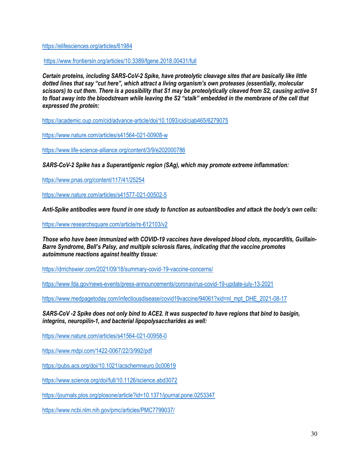<https://elifesciences.org/articles/61984>

<https://www.frontiersin.org/articles/10.3389/fgene.2018.00431/full>

*Certain proteins, including SARS-CoV-2 Spike, have proteolytic cleavage sites that are basically like little dotted lines that say "cut here", which attract a living organism's own proteases (essentially, molecular scissors) to cut them. There is a possibility that S1 may be proteolytically cleaved from S2, causing active S1 to float away into the bloodstream while leaving the S2 "stalk" embedded in the membrane of the cell that expressed the protein:*

<https://academic.oup.com/cid/advance-article/doi/10.1093/cid/ciab465/6279075>

<https://www.nature.com/articles/s41564-021-00908-w>

<https://www.life-science-alliance.org/content/3/9/e202000786>

*SARS-CoV-2 Spike has a Superantigenic region (SAg), which may promote extreme inflammation:*

<https://www.pnas.org/content/117/41/25254>

<https://www.nature.com/articles/s41577-021-00502-5>

*Anti-Spike antibodies were found in one study to function as autoantibodies and attack the body's own cells:*

<https://www.researchsquare.com/article/rs-612103/v2>

*Those who have been immunized with COVID-19 vaccines have developed blood clots, myocarditis, Guillain-Barre Syndrome, Bell's Palsy, and multiple sclerosis flares, indicating that the vaccine promotes autoimmune reactions against healthy tissue:*

<https://drrichswier.com/2021/09/18/summary-covid-19-vaccine-concerns/>

<https://www.fda.gov/news-events/press-announcements/coronavirus-covid-19-update-july-13-2021>

[https://www.medpagetoday.com/infectiousdisease/covid19vaccine/94061?xid=nl\\_mpt\\_DHE\\_2021-08-17](https://www.medpagetoday.com/infectiousdisease/covid19vaccine/94061?xid=nl_mpt_DHE_2021-08-17)

*SARS-CoV -2 Spike does not only bind to ACE2. It was suspected to have regions that bind to basigin, integrins, neuropilin-1, and bacterial lipopolysaccharides as well:*

<https://www.nature.com/articles/s41564-021-00958-0>

<https://www.mdpi.com/1422-0067/22/3/992/pdf>

<https://pubs.acs.org/doi/10.1021/acschemneuro.0c00619>

<https://www.science.org/doi/full/10.1126/science.abd3072>

<https://journals.plos.org/plosone/article?id=10.1371/journal.pone.0253347>

<https://www.ncbi.nlm.nih.gov/pmc/articles/PMC7799037/>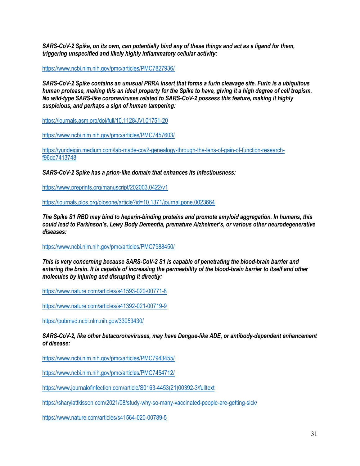*SARS-CoV-2 Spike, on its own, can potentially bind any of these things and act as a ligand for them, triggering unspecified and likely highly inflammatory cellular activity:*

<https://www.ncbi.nlm.nih.gov/pmc/articles/PMC7827936/>

*SARS-CoV-2 Spike contains an unusual PRRA insert that forms a furin cleavage site. Furin is a ubiquitous human protease, making this an ideal property for the Spike to have, giving it a high degree of cell tropism. No wild-type SARS-like coronaviruses related to SARS-CoV-2 possess this feature, making it highly suspicious, and perhaps a sign of human tampering:*

<https://journals.asm.org/doi/full/10.1128/JVI.01751-20>

<https://www.ncbi.nlm.nih.gov/pmc/articles/PMC7457603/>

[https://yurideigin.medium.com/lab-made-cov2-genealogy-through-the-lens-of-gain-of-function-research](https://yurideigin.medium.com/lab-made-cov2-genealogy-through-the-lens-of-gain-of-function-research-f96dd7413748)[f96dd7413748](https://yurideigin.medium.com/lab-made-cov2-genealogy-through-the-lens-of-gain-of-function-research-f96dd7413748)

*SARS-CoV-2 Spike has a prion-like domain that enhances its infectiousness:*

<https://www.preprints.org/manuscript/202003.0422/v1>

<https://journals.plos.org/plosone/article?id=10.1371/journal.pone.0023664>

*The Spike S1 RBD may bind to heparin-binding proteins and promote amyloid aggregation. In humans, this could lead to Parkinson's, Lewy Body Dementia, premature Alzheimer's, or various other neurodegenerative diseases:*

<https://www.ncbi.nlm.nih.gov/pmc/articles/PMC7988450/>

*This is very concerning because SARS-CoV-2 S1 is capable of penetrating the blood-brain barrier and entering the brain. It is capable of increasing the permeability of the blood-brain barrier to itself and other molecules by injuring and disrupting it directly:*

<https://www.nature.com/articles/s41593-020-00771-8>

<https://www.nature.com/articles/s41392-021-00719-9>

<https://pubmed.ncbi.nlm.nih.gov/33053430/>

*SARS-CoV-2, like other betacoronaviruses, may have Dengue-like ADE, or antibody-dependent enhancement of disease:*

<https://www.ncbi.nlm.nih.gov/pmc/articles/PMC7943455/>

<https://www.ncbi.nlm.nih.gov/pmc/articles/PMC7454712/>

[https://www.journalofinfection.com/article/S0163-4453\(21\)00392-3/fulltext](https://www.journalofinfection.com/article/S0163-4453(21)00392-3/fulltext)

<https://sharylattkisson.com/2021/08/study-why-so-many-vaccinated-people-are-getting-sick/>

<https://www.nature.com/articles/s41564-020-00789-5>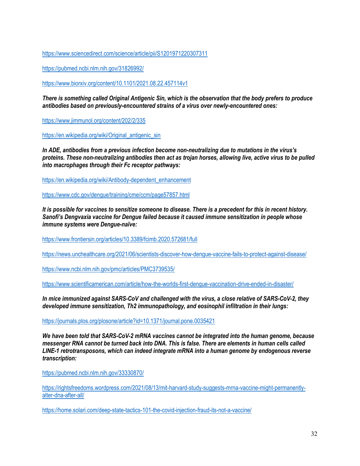<https://www.sciencedirect.com/science/article/pii/S1201971220307311>

<https://pubmed.ncbi.nlm.nih.gov/31826992/>

<https://www.biorxiv.org/content/10.1101/2021.08.22.457114v1>

*There is something called Original Antigenic Sin, which is the observation that the body prefers to produce antibodies based on previously-encountered strains of a virus over newly-encountered ones:*

<https://www.jimmunol.org/content/202/2/335>

[https://en.wikipedia.org/wiki/Original\\_antigenic\\_sin](https://en.wikipedia.org/wiki/Original_antigenic_sin)

*In ADE, antibodies from a previous infection become non-neutralizing due to mutations in the virus's proteins. These non-neutralizing antibodies then act as trojan horses, allowing live, active virus to be pulled into macrophages through their Fc receptor pathways:*

[https://en.wikipedia.org/wiki/Antibody-dependent\\_enhancement](https://en.wikipedia.org/wiki/Antibody-dependent_enhancement)

<https://www.cdc.gov/dengue/training/cme/ccm/page57857.html>

*It is possible for vaccines to sensitize someone to disease. There is a precedent for this in recent history. Sanofi's Dengvaxia vaccine for Dengue failed because it caused immune sensitization in people whose immune systems were Dengue-naïve:*

<https://www.frontiersin.org/articles/10.3389/fcimb.2020.572681/full>

<https://news.unchealthcare.org/2021/06/scientists-discover-how-dengue-vaccine-fails-to-protect-against-disease/>

<https://www.ncbi.nlm.nih.gov/pmc/articles/PMC3739535/>

<https://www.scientificamerican.com/article/how-the-worlds-first-dengue-vaccination-drive-ended-in-disaster/>

*In mice immunized against SARS-CoV and challenged with the virus, a close relative of SARS-CoV-2, they developed immune sensitization, Th2 immunopathology, and eosinophil infiltration in their lungs:*

<https://journals.plos.org/plosone/article?id=10.1371/journal.pone.0035421>

*We have been told that SARS-CoV-2 mRNA vaccines cannot be integrated into the human genome, because messenger RNA cannot be turned back into DNA. This is false. There are elements in human cells called LINE-1 retrotransposons, which can indeed integrate mRNA into a human genome by endogenous reverse transcription:*

<https://pubmed.ncbi.nlm.nih.gov/33330870/>

[https://rightsfreedoms.wordpress.com/2021/08/13/mit-harvard-study-suggests-mrna-vaccine-might-permanently](https://rightsfreedoms.wordpress.com/2021/08/13/mit-harvard-study-suggests-mrna-vaccine-might-permanently-alter-dna-after-all/)[alter-dna-after-all/](https://rightsfreedoms.wordpress.com/2021/08/13/mit-harvard-study-suggests-mrna-vaccine-might-permanently-alter-dna-after-all/)

<https://home.solari.com/deep-state-tactics-101-the-covid-injection-fraud-its-not-a-vaccine/>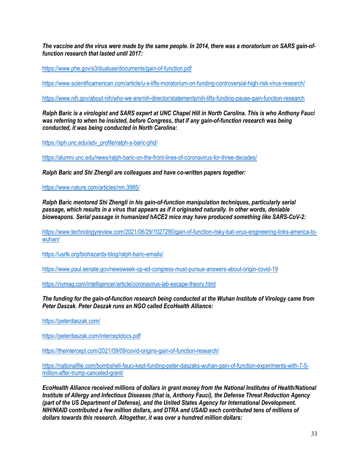*The vaccine and the virus were made by the same people. In 2014, there was a moratorium on SARS gain-offunction research that lasted until 2017:*

<https://www.phe.gov/s3/dualuse/documents/gain-of-function.pdf>

<https://www.scientificamerican.com/article/u-s-lifts-moratorium-on-funding-controversial-high-risk-virus-research/>

<https://www.nih.gov/about-nih/who-we-are/nih-director/statements/nih-lifts-funding-pause-gain-function-research>

*Ralph Baric is a virologist and SARS expert at UNC Chapel Hill in North Carolina. This is who Anthony Fauci was referring to when he insisted, before Congress, that if any gain-of-function research was being conducted, it was being conducted in North Carolina:*

[https://sph.unc.edu/adv\\_profile/ralph-s-baric-phd/](https://sph.unc.edu/adv_profile/ralph-s-baric-phd/)

<https://alumni.unc.edu/news/ralph-baric-on-the-front-lines-of-coronavirus-for-three-decades/>

*Ralph Baric and Shi Zhengli are colleagues and have co-written papers together:*

<https://www.nature.com/articles/nm.3985/>

*Ralph Baric mentored Shi Zhengli in his gain-of-function manipulation techniques, particularly serial passage, which results in a virus that appears as if it originated naturally. In other words, deniable bioweapons. Serial passage in humanized hACE2 mice may have produced something like SARS-CoV-2:*

[https://www.technologyreview.com/2021/06/29/1027290/gain-of-function-risky-bat-virus-engineering-links-america-to](https://www.technologyreview.com/2021/06/29/1027290/gain-of-function-risky-bat-virus-engineering-links-america-to-wuhan/)[wuhan/](https://www.technologyreview.com/2021/06/29/1027290/gain-of-function-risky-bat-virus-engineering-links-america-to-wuhan/)

<https://usrtk.org/biohazards-blog/ralph-baric-emails/>

<https://www.paul.senate.gov/newsweek-op-ed-congress-must-pursue-answers-about-origin-covid-19>

<https://nymag.com/intelligencer/article/coronavirus-lab-escape-theory.html>

*The funding for the gain-of-function research being conducted at the Wuhan Institute of Virology came from Peter Daszak. Peter Daszak runs an NGO called EcoHealth Alliance:*

<https://peterdaszak.com/>

<https://peterdaszak.com/interceptdocs.pdf>

<https://theintercept.com/2021/09/09/covid-origins-gain-of-function-research/>

[https://nationalfile.com/bombshell-fauci-kept-funding-peter-daszaks-wuhan-gain-of-function-experiments-with-7-5](https://nationalfile.com/bombshell-fauci-kept-funding-peter-daszaks-wuhan-gain-of-function-experiments-with-7-5-million-after-trump-canceled-grant/) [million-after-trump-canceled-grant/](https://nationalfile.com/bombshell-fauci-kept-funding-peter-daszaks-wuhan-gain-of-function-experiments-with-7-5-million-after-trump-canceled-grant/)

*EcoHealth Alliance received millions of dollars in grant money from the National Institutes of Health/National Institute of Allergy and Infectious Diseases (that is, Anthony Fauci), the Defense Threat Reduction Agency (part of the US Department of Defense), and the United States Agency for International Development. NIH/NIAID contributed a few million dollars, and DTRA and USAID each contributed tens of millions of dollars towards this research. Altogether, it was over a hundred million dollars:*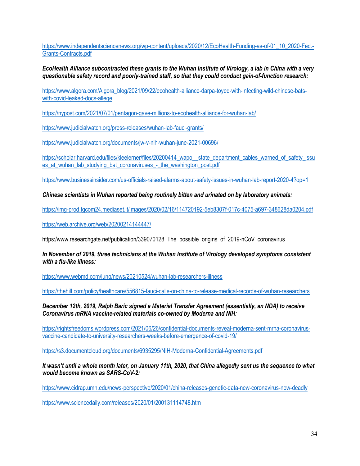[https://www.independentsciencenews.org/wp-content/uploads/2020/12/EcoHealth-Funding-as-of-01\\_10\\_2020-Fed.-](https://www.independentsciencenews.org/wp-content/uploads/2020/12/EcoHealth-Funding-as-of-01_10_2020-Fed.-Grants-Contracts.pdf) [Grants-Contracts.pdf](https://www.independentsciencenews.org/wp-content/uploads/2020/12/EcoHealth-Funding-as-of-01_10_2020-Fed.-Grants-Contracts.pdf)

# *EcoHealth Alliance subcontracted these grants to the Wuhan Institute of Virology, a lab in China with a very questionable safety record and poorly-trained staff, so that they could conduct gain-of-function research:*

[https://www.algora.com/Algora\\_blog/2021/09/22/ecohealth-alliance-darpa-toyed-with-infecting-wild-chinese-bats](https://www.algora.com/Algora_blog/2021/09/22/ecohealth-alliance-darpa-toyed-with-infecting-wild-chinese-bats-with-covid-leaked-docs-allege)[with-covid-leaked-docs-allege](https://www.algora.com/Algora_blog/2021/09/22/ecohealth-alliance-darpa-toyed-with-infecting-wild-chinese-bats-with-covid-leaked-docs-allege)

<https://nypost.com/2021/07/01/pentagon-gave-millions-to-ecohealth-alliance-for-wuhan-lab/>

<https://www.judicialwatch.org/press-releases/wuhan-lab-fauci-grants/>

<https://www.judicialwatch.org/documents/jw-v-nih-wuhan-june-2021-00696/>

[https://scholar.harvard.edu/files/kleelerner/files/20200414\\_wapo\\_\\_state\\_department\\_cables\\_warned\\_of\\_safety\\_issu](https://scholar.harvard.edu/files/kleelerner/files/20200414_wapo__state_department_cables_warned_of_safety_issues_at_wuhan_lab_studying_bat_coronaviruses_-_the_washington_post.pdf) es at wuhan\_lab\_studying\_bat\_coronaviruses\_-\_the\_washington\_post.pdf

<https://www.businessinsider.com/us-officials-raised-alarms-about-safety-issues-in-wuhan-lab-report-2020-4?op=1>

*Chinese scientists in Wuhan reported being routinely bitten and urinated on by laboratory animals:*

<https://img-prod.tgcom24.mediaset.it/images/2020/02/16/114720192-5eb8307f-017c-4075-a697-348628da0204.pdf>

<https://web.archive.org/web/20200214144447/>

https:/www.researchgate.net/publication/339070128 The possible origins of 2019-nCoV coronavirus

*In November of 2019, three technicians at the Wuhan Institute of Virology developed symptoms consistent with a flu-like illness:*

<https://www.webmd.com/lung/news/20210524/wuhan-lab-researchers-illness>

<https://thehill.com/policy/healthcare/556815-fauci-calls-on-china-to-release-medical-records-of-wuhan-researchers>

*December 12th, 2019, Ralph Baric signed a Material Transfer Agreement (essentially, an NDA) to receive Coronavirus mRNA vaccine-related materials co-owned by Moderna and NIH:*

[https://rightsfreedoms.wordpress.com/2021/06/26/confidential-documents-reveal-moderna-sent-mrna-coronavirus](https://rightsfreedoms.wordpress.com/2021/06/26/confidential-documents-reveal-moderna-sent-mrna-coronavirus-vaccine-candidate-to-university-researchers-weeks-before-emergence-of-covid-19/)[vaccine-candidate-to-university-researchers-weeks-before-emergence-of-covid-19/](https://rightsfreedoms.wordpress.com/2021/06/26/confidential-documents-reveal-moderna-sent-mrna-coronavirus-vaccine-candidate-to-university-researchers-weeks-before-emergence-of-covid-19/)

<https://s3.documentcloud.org/documents/6935295/NIH-Moderna-Confidential-Agreements.pdf>

*It wasn't until a whole month later, on January 11th, 2020, that China allegedly sent us the sequence to what would become known as SARS-CoV-2:*

<https://www.cidrap.umn.edu/news-perspective/2020/01/china-releases-genetic-data-new-coronavirus-now-deadly>

<https://www.sciencedaily.com/releases/2020/01/200131114748.htm>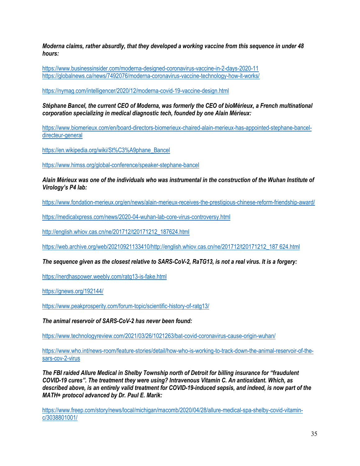*Moderna claims, rather absurdly, that they developed a working vaccine from this sequence in under 48 hours:*

<https://www.businessinsider.com/moderna-designed-coronavirus-vaccine-in-2-days-2020-11> <https://globalnews.ca/news/7492076/moderna-coronavirus-vaccine-technology-how-it-works/>

<https://nymag.com/intelligencer/2020/12/moderna-covid-19-vaccine-design.html>

*Stéphane Bancel, the current CEO of Moderna, was formerly the CEO of bioMérieux, a French multinational corporation specializing in medical diagnostic tech, founded by one Alain Mérieux:*

[https://www.biomerieux.com/en/board-directors-biomerieux-chaired-alain-merieux-has-appointed-stephane-bancel](https://www.biomerieux.com/en/board-directors-biomerieux-chaired-alain-merieux-has-appointed-stephane-bancel-directeur-general)[directeur-general](https://www.biomerieux.com/en/board-directors-biomerieux-chaired-alain-merieux-has-appointed-stephane-bancel-directeur-general)

[https://en.wikipedia.org/wiki/St%C3%A9phane\\_Bancel](https://en.wikipedia.org/wiki/St%C3%A9phane_Bancel)

<https://www.himss.org/global-conference/speaker-stephane-bancel>

*Alain Mérieux was one of the individuals who was instrumental in the construction of the Wuhan Institute of Virology's P4 lab:*

<https://www.fondation-merieux.org/en/news/alain-merieux-receives-the-prestigious-chinese-reform-friendship-award/>

<https://medicalxpress.com/news/2020-04-wuhan-lab-core-virus-controversy.html>

[http://english.whiov.cas.cn/ne/201712/t20171212\\_187624.html](http://english.whiov.cas.cn/ne/201712/t20171212_187624.html)

[https://web.archive.org/web/20210921133410/http://english.whiov.cas.cn/ne/201712/t20171212\\_187 624.html](https://web.archive.org/web/20210921133410/http:/english.whiov.cas.cn/ne/201712/t20171212_187%20624.html)

#### *The sequence given as the closest relative to SARS-CoV-2, RaTG13, is not a real virus. It is a forgery:*

<https://nerdhaspower.weebly.com/ratg13-is-fake.html>

<https://gnews.org/192144/>

<https://www.peakprosperity.com/forum-topic/scientific-history-of-ratg13/>

*The animal reservoir of SARS-CoV-2 has never been found:*

<https://www.technologyreview.com/2021/03/26/1021263/bat-covid-coronavirus-cause-origin-wuhan/>

[https://www.who.int/news-room/feature-stories/detail/how-who-is-working-to-track-down-the-animal-reservoir-of-the](https://www.who.int/news-room/feature-stories/detail/how-who-is-working-to-track-down-the-animal-reservoir-of-the-sars-cov-2-virus)[sars-cov-2-virus](https://www.who.int/news-room/feature-stories/detail/how-who-is-working-to-track-down-the-animal-reservoir-of-the-sars-cov-2-virus)

*The FBI raided Allure Medical in Shelby Township north of Detroit for billing insurance for "fraudulent COVID-19 cures". The treatment they were using? Intravenous Vitamin C. An antioxidant. Which, as described above, is an entirely valid treatment for COVID-19-induced sepsis, and indeed, is now part of the MATH+ protocol advanced by Dr. Paul E. Marik:*

[https://www.freep.com/story/news/local/michigan/macomb/2020/04/28/allure-medical-spa-shelby-covid-vitamin](https://www.freep.com/story/news/local/michigan/macomb/2020/04/28/allure-medical-spa-shelby-covid-vitamin-c/3038801001/)[c/3038801001/](https://www.freep.com/story/news/local/michigan/macomb/2020/04/28/allure-medical-spa-shelby-covid-vitamin-c/3038801001/)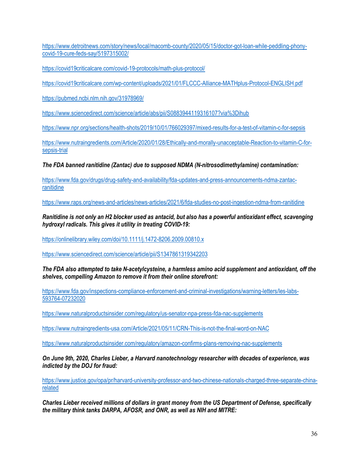[https://www.detroitnews.com/story/news/local/macomb-county/2020/05/15/doctor-got-loan-while-peddling-phony](https://www.detroitnews.com/story/news/local/macomb-county/2020/05/15/doctor-got-loan-while-peddling-phony-covid-19-cure-feds-say/5197315002/)[covid-19-cure-feds-say/5197315002/](https://www.detroitnews.com/story/news/local/macomb-county/2020/05/15/doctor-got-loan-while-peddling-phony-covid-19-cure-feds-say/5197315002/)

<https://covid19criticalcare.com/covid-19-protocols/math-plus-protocol/>

<https://covid19criticalcare.com/wp-content/uploads/2021/01/FLCCC-Alliance-MATHplus-Protocol-ENGLISH.pdf>

<https://pubmed.ncbi.nlm.nih.gov/31978969/>

<https://www.sciencedirect.com/science/article/abs/pii/S0883944119316107?via%3Dihub>

<https://www.npr.org/sections/health-shots/2019/10/01/766029397/mixed-results-for-a-test-of-vitamin-c-for-sepsis>

[https://www.nutraingredients.com/Article/2020/01/28/Ethically-and-morally-unacceptable-Reaction-to-vitamin-C-for](https://www.nutraingredients.com/Article/2020/01/28/Ethically-and-morally-unacceptable-Reaction-to-vitamin-C-for-sepsis-trial)[sepsis-trial](https://www.nutraingredients.com/Article/2020/01/28/Ethically-and-morally-unacceptable-Reaction-to-vitamin-C-for-sepsis-trial)

*The FDA banned ranitidine (Zantac) due to supposed NDMA (N-nitrosodimethylamine) contamination:*

[https://www.fda.gov/drugs/drug-safety-and-availability/fda-updates-and-press-announcements-ndma-zantac](https://www.fda.gov/drugs/drug-safety-and-availability/fda-updates-and-press-announcements-ndma-zantac-ranitidine)[ranitidine](https://www.fda.gov/drugs/drug-safety-and-availability/fda-updates-and-press-announcements-ndma-zantac-ranitidine)

<https://www.raps.org/news-and-articles/news-articles/2021/6/fda-studies-no-post-ingestion-ndma-from-ranitidine>

*Ranitidine is not only an H2 blocker used as antacid, but also has a powerful antioxidant effect, scavenging hydroxyl radicals. This gives it utility in treating COVID-19:*

<https://onlinelibrary.wiley.com/doi/10.1111/j.1472-8206.2009.00810.x>

<https://www.sciencedirect.com/science/article/pii/S1347861319342203>

*The FDA also attempted to take N-acetylcysteine, a harmless amino acid supplement and antioxidant, off the shelves, compelling Amazon to remove it from their online storefront:*

[https://www.fda.gov/inspections-compliance-enforcement-and-criminal-investigations/warning-letters/les-labs-](https://www.fda.gov/inspections-compliance-enforcement-and-criminal-investigations/warning-letters/les-labs-593764-07232020)[593764-07232020](https://www.fda.gov/inspections-compliance-enforcement-and-criminal-investigations/warning-letters/les-labs-593764-07232020)

<https://www.naturalproductsinsider.com/regulatory/us-senator-npa-press-fda-nac-supplements>

<https://www.nutraingredients-usa.com/Article/2021/05/11/CRN-This-is-not-the-final-word-on-NAC>

<https://www.naturalproductsinsider.com/regulatory/amazon-confirms-plans-removing-nac-supplements>

*On June 9th, 2020, Charles Lieber, a Harvard nanotechnology researcher with decades of experience, was indicted by the DOJ for fraud:*

[https://www.justice.gov/opa/pr/harvard-university-professor-and-two-chinese-nationals-charged-three-separate-china](https://www.justice.gov/opa/pr/harvard-university-professor-and-two-chinese-nationals-charged-three-separate-china-related)[related](https://www.justice.gov/opa/pr/harvard-university-professor-and-two-chinese-nationals-charged-three-separate-china-related)

*Charles Lieber received millions of dollars in grant money from the US Department of Defense, specifically the military think tanks DARPA, AFOSR, and ONR, as well as NIH and MITRE:*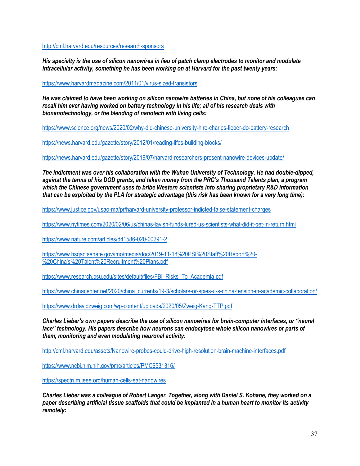<http://cml.harvard.edu/resources/research-sponsors>

*His specialty is the use of silicon nanowires in lieu of patch clamp electrodes to monitor and modulate intracellular activity, something he has been working on at Harvard for the past twenty years:*

<https://www.harvardmagazine.com/2011/01/virus-sized-transistors>

*He was claimed to have been working on silicon nanowire batteries in China, but none of his colleagues can recall him ever having worked on battery technology in his life; all of his research deals with bionanotechnology, or the blending of nanotech with living cells:*

<https://www.science.org/news/2020/02/why-did-chinese-university-hire-charles-lieber-do-battery-research>

<https://news.harvard.edu/gazette/story/2012/01/reading-lifes-building-blocks/>

<https://news.harvard.edu/gazette/story/2019/07/harvard-researchers-present-nanowire-devices-update/>

*The indictment was over his collaboration with the Wuhan University of Technology. He had double-dipped, against the terms of his DOD grants, and taken money from the PRC's Thousand Talents plan, a program which the Chinese government uses to bribe Western scientists into sharing proprietary R&D information that can be exploited by the PLA for strategic advantage (this risk has been known for a very long time):*

<https://www.justice.gov/usao-ma/pr/harvard-university-professor-indicted-false-statement-charges>

<https://www.nytimes.com/2020/02/06/us/chinas-lavish-funds-lured-us-scientists-what-did-it-get-in-return.html>

<https://www.nature.com/articles/d41586-020-00291-2>

[https://www.hsgac.senate.gov/imo/media/doc/2019-11-18%20PSI%20Staff%20Report%20-](https://www.hsgac.senate.gov/imo/media/doc/2019-11-18%20PSI%20Staff%20Report%20-%20China) [%20China's%20Talent%20Recruitment%20Plans.pdf](https://www.hsgac.senate.gov/imo/media/doc/2019-11-18%20PSI%20Staff%20Report%20-%20China)

[https://www.research.psu.edu/sites/default/files/FBI\\_Risks\\_To\\_Academia.pdf](https://www.research.psu.edu/sites/default/files/FBI_Risks_To_Academia.pdf)

[https://www.chinacenter.net/2020/china\\_currents/19-3/scholars-or-spies-u-s-china-tension-in-academic-collaboration/](https://www.chinacenter.net/2020/china_currents/19-3/scholars-or-spies-u-s-china-tension-in-academic-collaboration/)

<https://www.drdavidzweig.com/wp-content/uploads/2020/05/Zweig-Kang-TTP.pdf>

*Charles Lieber's own papers describe the use of silicon nanowires for brain-computer interfaces, or "neural lace" technology. His papers describe how neurons can endocytose whole silicon nanowires or parts of them, monitoring and even modulating neuronal activity:*

<http://cml.harvard.edu/assets/Nanowire-probes-could-drive-high-resolution-brain-machine-interfaces.pdf>

<https://www.ncbi.nlm.nih.gov/pmc/articles/PMC6531316/>

<https://spectrum.ieee.org/human-cells-eat-nanowires>

*Charles Lieber was a colleague of Robert Langer. Together, along with Daniel S. Kohane, they worked on a paper describing artificial tissue scaffolds that could be implanted in a human heart to monitor its activity remotely:*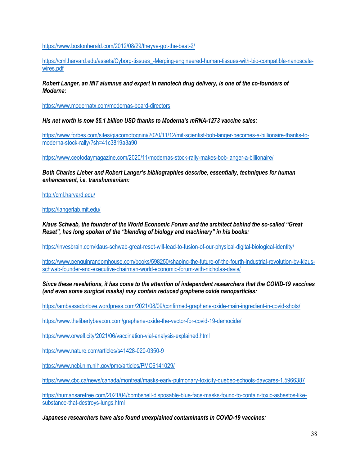<https://www.bostonherald.com/2012/08/29/theyve-got-the-beat-2/>

[https://cml.harvard.edu/assets/Cyborg-tissues\\_-Merging-engineered-human-tissues-with-bio-compatible-nanoscale](https://cml.harvard.edu/assets/Cyborg-tissues_-Merging-engineered-human-tissues-with-bio-compatible-nanoscale-wires.pdf)[wires.pdf](https://cml.harvard.edu/assets/Cyborg-tissues_-Merging-engineered-human-tissues-with-bio-compatible-nanoscale-wires.pdf)

*Robert Langer, an MIT alumnus and expert in nanotech drug delivery, is one of the co-founders of Moderna:*

<https://www.modernatx.com/modernas-board-directors>

*His net worth is now \$5.1 billion USD thanks to Moderna's mRNA-1273 vaccine sales:*

[https://www.forbes.com/sites/giacomotognini/2020/11/12/mit-scientist-bob-langer-becomes-a-billionaire-thanks-to](https://www.forbes.com/sites/giacomotognini/2020/11/12/mit-scientist-bob-langer-becomes-a-billionaire-thanks-to-moderna-stock-rally/?sh=41c3819a3a90)[moderna-stock-rally/?sh=41c3819a3a90](https://www.forbes.com/sites/giacomotognini/2020/11/12/mit-scientist-bob-langer-becomes-a-billionaire-thanks-to-moderna-stock-rally/?sh=41c3819a3a90)

<https://www.ceotodaymagazine.com/2020/11/modernas-stock-rally-makes-bob-langer-a-billionaire/>

*Both Charles Lieber and Robert Langer's bibliographies describe, essentially, techniques for human enhancement, i.e. transhumanism:*

<http://cml.harvard.edu/>

<https://langerlab.mit.edu/>

*Klaus Schwab, the founder of the World Economic Forum and the architect behind the so-called "Great Reset", has long spoken of the "blending of biology and machinery" in his books:*

<https://invesbrain.com/klaus-schwab-great-reset-will-lead-to-fusion-of-our-physical-digital-biological-identity/>

[https://www.penguinrandomhouse.com/books/598250/shaping-the-future-of-the-fourth-industrial-revolution-by-klaus](https://www.penguinrandomhouse.com/books/598250/shaping-the-future-of-the-fourth-industrial-revolution-by-klaus-schwab-founder-and-executive-chairman-world-economic-forum-with-nicholas-davis/)[schwab-founder-and-executive-chairman-world-economic-forum-with-nicholas-davis/](https://www.penguinrandomhouse.com/books/598250/shaping-the-future-of-the-fourth-industrial-revolution-by-klaus-schwab-founder-and-executive-chairman-world-economic-forum-with-nicholas-davis/)

*Since these revelations, it has come to the attention of independent researchers that the COVID-19 vaccines (and even some surgical masks) may contain reduced graphene oxide nanoparticles:*

<https://ambassadorlove.wordpress.com/2021/08/09/confirmed-graphene-oxide-main-ingredient-in-covid-shots/>

<https://www.thelibertybeacon.com/graphene-oxide-the-vector-for-covid-19-democide/>

<https://www.orwell.city/2021/06/vaccination-vial-analysis-explained.html>

<https://www.nature.com/articles/s41428-020-0350-9>

<https://www.ncbi.nlm.nih.gov/pmc/articles/PMC6141029/>

<https://www.cbc.ca/news/canada/montreal/masks-early-pulmonary-toxicity-quebec-schools-daycares-1.5966387>

[https://humansarefree.com/2021/04/bombshell-disposable-blue-face-masks-found-to-contain-toxic-asbestos-like](https://humansarefree.com/2021/04/bombshell-disposable-blue-face-masks-found-to-contain-toxic-asbestos-like-substance-that-destroys-lungs.html)[substance-that-destroys-lungs.html](https://humansarefree.com/2021/04/bombshell-disposable-blue-face-masks-found-to-contain-toxic-asbestos-like-substance-that-destroys-lungs.html)

*Japanese researchers have also found unexplained contaminants in COVID-19 vaccines:*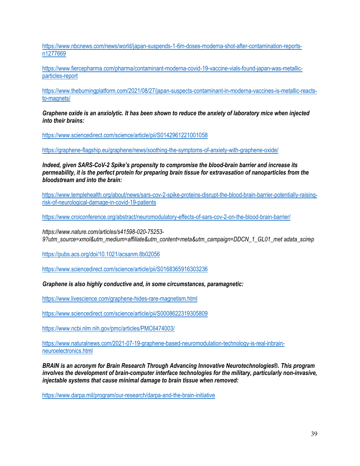https://www.nbcnews.com/news/world/japan-suspends-1-6m-doses-moderna-shot-after-contamination-reportsn1277669

https://www.fiercepharma.com/pharma/contaminant-moderna-covid-19-vaccine-vials-found-japan-was-metallicparticles-report

https://www.theburningplatform.com/2021/08/27/japan-suspects-contaminant-in-moderna-vaccines-is-metallic-reactsto-magnets/

*Graphene oxide is an anxiolytic. It has been shown to reduce the anxiety of laboratory mice when injected into their brains:*

https://www.sciencedirect.com/science/article/pii/S0142961221001058

https://graphene-flagship.eu/graphene/news/soothing-the-symptoms-of-anxiety-with-graphene-oxide/

*Indeed, given SARS-CoV-2 Spike's propensity to compromise the blood-brain barrier and increase its permeability, it is the perfect protein for preparing brain tissue for extravasation of nanoparticles from the bloodstream and into the brain:*

https://www.templehealth.org/about/news/sars-cov-2-spike-proteins-disrupt-the-blood-brain-barrier-potentially-raisingrisk-of-neurological-damage-in-covid-19-patients

https://www.croiconference.org/abstract/neuromodulatory-effects-of-sars-cov-2-on-the-blood-brain-barrier/

*https://www.nature.com/articles/s41598-020-75253- 9?utm\_source=xmol&utm\_medium=affiliate&utm\_content=meta&utm\_campaign=DDCN\_1\_GL01\_met adata\_scirep* 

https://pubs.acs.org/doi/10.1021/acsanm.8b02056

https://www.sciencedirect.com/science/article/pii/S0168365916303236

*Graphene is also highly conductive and, in some circumstances, paramagnetic:*

https://www.livescience.com/graphene-hides-rare-magnetism.html

https://www.sciencedirect.com/science/article/pii/S0008622319305809

https://www.ncbi.nlm.nih.gov/pmc/articles/PMC6474003/

https://www.naturalnews.com/2021-07-19-graphene-based-neuromodulation-technology-is-real-inbrainneuroelectronics.html

*BRAIN is an acronym for Brain Research Through Advancing Innovative Neurotechnologies®. This program involves the development of brain-computer interface technologies for the military, particularly non-invasive, injectable systems that cause minimal damage to brain tissue when removed:*

https://www.darpa.mil/program/our-research/darpa-and-the-brain-initiative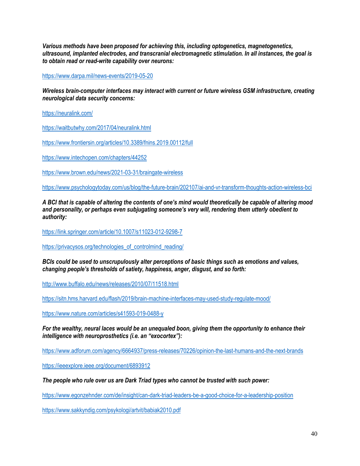*Various methods have been proposed for achieving this, including optogenetics, magnetogenetics, ultrasound, implanted electrodes, and transcranial electromagnetic stimulation. In all instances, the goal is to obtain read or read-write capability over neurons:*

https://www.darpa.mil/news-events/2019-05-20

*Wireless brain-computer interfaces may interact with current or future wireless GSM infrastructure, creating neurological data security concerns:*

https://neuralink.com/

https://waitbutwhy.com/2017/04/neuralink.html

https://www.frontiersin.org/articles/10.3389/fnins.2019.00112/full

https://www.intechopen.com/chapters/44252

https://www.brown.edu/news/2021-03-31/braingate-wireless

https://www.psychologytoday.com/us/blog/the-future-brain/202107/ai-and-vr-transform-thoughts-action-wireless-bci

*A BCI that is capable of altering the contents of one's mind would theoretically be capable of altering mood and personality, or perhaps even subjugating someone's very will, rendering them utterly obedient to authority:*

https://link.springer.com/article/10.1007/s11023-012-9298-7

https://privacysos.org/technologies\_of\_controlmind\_reading/

*BCIs could be used to unscrupulously alter perceptions of basic things such as emotions and values, changing people's thresholds of satiety, happiness, anger, disgust, and so forth:*

http://www.buffalo.edu/news/releases/2010/07/11518.html

https://sitn.hms.harvard.edu/flash/2019/brain-machine-interfaces-may-used-study-regulate-mood/

https://www.nature.com/articles/s41593-019-0488-y

*For the wealthy, neural laces would be an unequaled boon, giving them the opportunity to enhance their intelligence with neuroprosthetics (i.e. an "exocortex"):*

https://www.adforum.com/agency/6664937/press-releases/70226/opinion-the-last-humans-and-the-next-brands

https://ieeexplore.ieee.org/document/6893912

*The people who rule over us are Dark Triad types who cannot be trusted with such power:*

https://www.egonzehnder.com/de/insight/can-dark-triad-leaders-be-a-good-choice-for-a-leadership-position

https://www.sakkyndig.com/psykologi/artvit/babiak2010.pdf